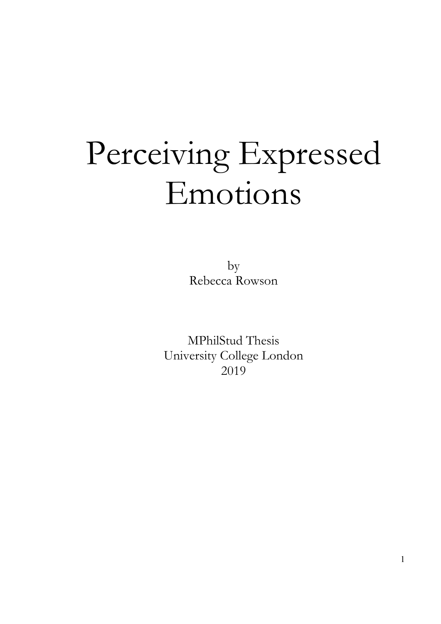# Perceiving Expressed Emotions

by Rebecca Rowson

MPhilStud Thesis University College London 2019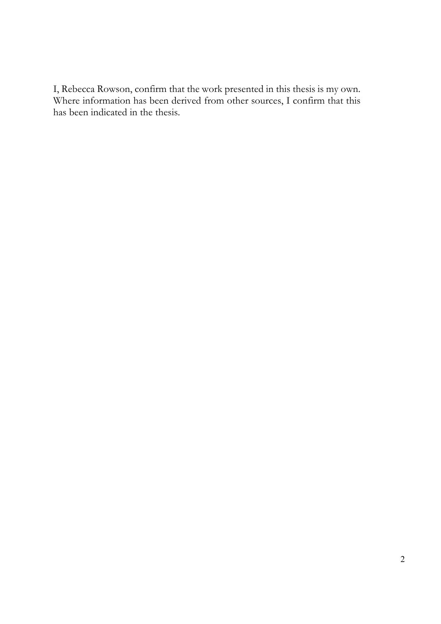I, Rebecca Rowson, confirm that the work presented in this thesis is my own. Where information has been derived from other sources, I confirm that this has been indicated in the thesis.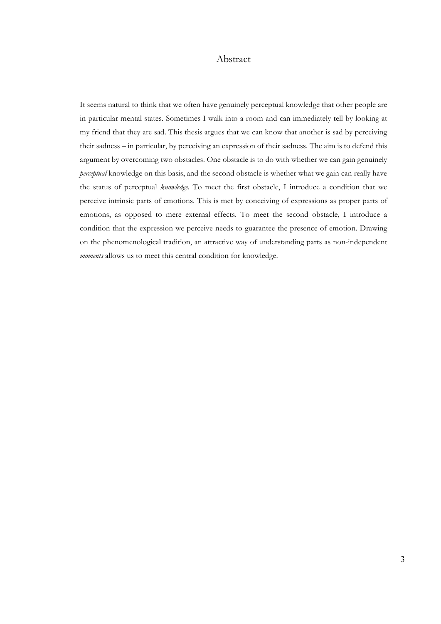## Abstract

It seems natural to think that we often have genuinely perceptual knowledge that other people are in particular mental states. Sometimes I walk into a room and can immediately tell by looking at my friend that they are sad. This thesis argues that we can know that another is sad by perceiving their sadness – in particular, by perceiving an expression of their sadness. The aim is to defend this argument by overcoming two obstacles. One obstacle is to do with whether we can gain genuinely *perceptual* knowledge on this basis, and the second obstacle is whether what we gain can really have the status of perceptual *knowledge.* To meet the first obstacle, I introduce a condition that we perceive intrinsic parts of emotions. This is met by conceiving of expressions as proper parts of emotions, as opposed to mere external effects. To meet the second obstacle, I introduce a condition that the expression we perceive needs to guarantee the presence of emotion. Drawing on the phenomenological tradition, an attractive way of understanding parts as non-independent *moments* allows us to meet this central condition for knowledge.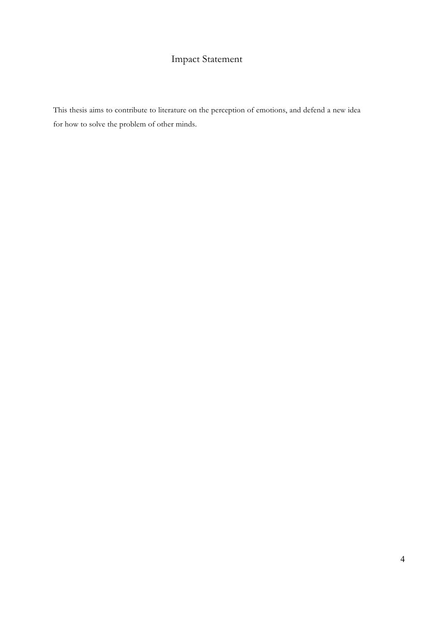# Impact Statement

This thesis aims to contribute to literature on the perception of emotions, and defend a new idea for how to solve the problem of other minds.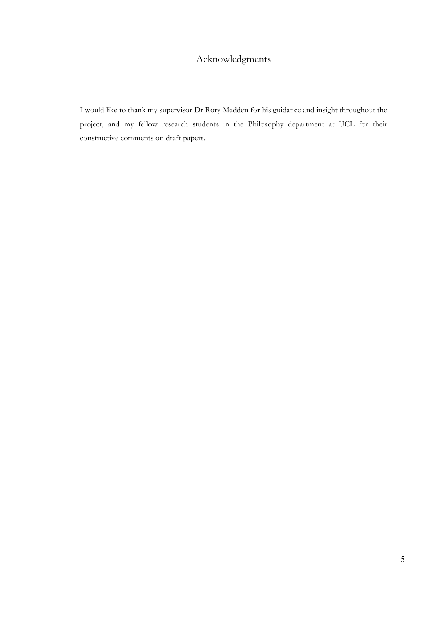## Acknowledgments

I would like to thank my supervisor Dr Rory Madden for his guidance and insight throughout the project, and my fellow research students in the Philosophy department at UCL for their constructive comments on draft papers.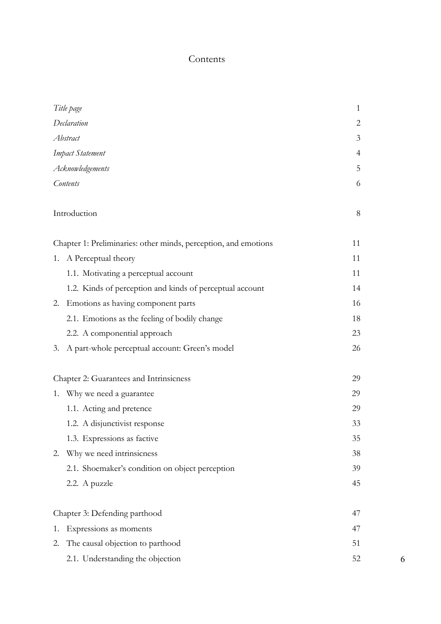## Contents

| Title page       | $\mathbf{1}$                                                    |    |
|------------------|-----------------------------------------------------------------|----|
| Declaration      | 2                                                               |    |
| Abstract         | 3                                                               |    |
| Impact Statement | $\overline{4}$                                                  |    |
| Acknowledgements | 5                                                               |    |
| Contents         | 6                                                               |    |
|                  | Introduction                                                    | 8  |
|                  | Chapter 1: Preliminaries: other minds, perception, and emotions | 11 |
|                  | 1. A Perceptual theory                                          | 11 |
|                  | 1.1. Motivating a perceptual account                            | 11 |
|                  | 1.2. Kinds of perception and kinds of perceptual account        | 14 |
|                  | 2. Emotions as having component parts                           | 16 |
|                  | 2.1. Emotions as the feeling of bodily change                   | 18 |
|                  | 2.2. A componential approach                                    | 23 |
|                  | 3. A part-whole perceptual account: Green's model               | 26 |
|                  | Chapter 2: Guarantees and Intrinsicness                         | 29 |
|                  | 1. Why we need a guarantee                                      | 29 |
|                  | 1.1. Acting and pretence                                        | 29 |
|                  | 1.2. A disjunctivist response                                   | 33 |
|                  | 1.3. Expressions as factive                                     | 35 |
| 2.               | Why we need intrinsicness                                       | 38 |
|                  | 2.1. Shoemaker's condition on object perception                 | 39 |
|                  | 2.2. A puzzle                                                   | 45 |
|                  | Chapter 3: Defending parthood                                   | 47 |
| 1.               | Expressions as moments                                          | 47 |
| 2.               | The causal objection to parthood                                | 51 |
|                  | 2.1. Understanding the objection                                | 52 |

6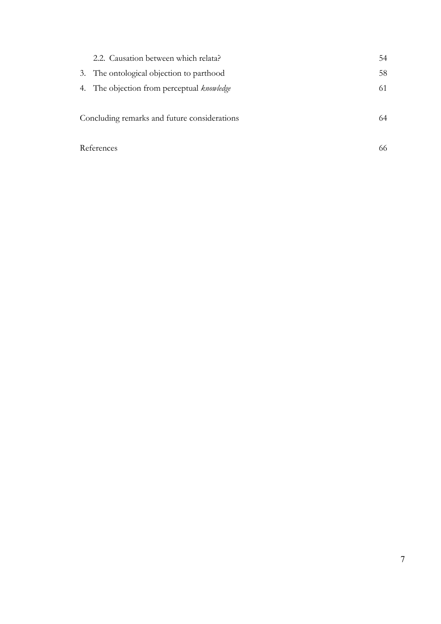| 2.2. Causation between which relata?         | 54 |
|----------------------------------------------|----|
| 3. The ontological objection to parthood     | 58 |
| 4. The objection from perceptual knowledge   | 61 |
| Concluding remarks and future considerations | 64 |
| References                                   | 66 |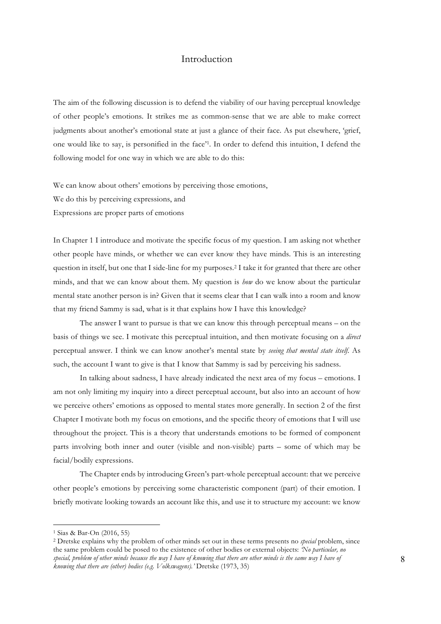## Introduction

The aim of the following discussion is to defend the viability of our having perceptual knowledge of other people's emotions. It strikes me as common-sense that we are able to make correct judgments about another's emotional state at just a glance of their face. As put elsewhere, 'grief, one would like to say, is personified in the face'1. In order to defend this intuition, I defend the following model for one way in which we are able to do this:

We can know about others' emotions by perceiving those emotions, We do this by perceiving expressions, and Expressions are proper parts of emotions

In Chapter 1 I introduce and motivate the specific focus of my question. I am asking not whether other people have minds, or whether we can ever know they have minds. This is an interesting question in itself, but one that I side-line for my purposes.2 I take it for granted that there are other minds, and that we can know about them. My question is *how* do we know about the particular mental state another person is in? Given that it seems clear that I can walk into a room and know that my friend Sammy is sad, what is it that explains how I have this knowledge?

The answer I want to pursue is that we can know this through perceptual means – on the basis of things we see. I motivate this perceptual intuition, and then motivate focusing on a *direct*  perceptual answer. I think we can know another's mental state by *seeing that mental state itself.* As such, the account I want to give is that I know that Sammy is sad by perceiving his sadness.

In talking about sadness, I have already indicated the next area of my focus – emotions. I am not only limiting my inquiry into a direct perceptual account, but also into an account of how we perceive others' emotions as opposed to mental states more generally. In section 2 of the first Chapter I motivate both my focus on emotions, and the specific theory of emotions that I will use throughout the project. This is a theory that understands emotions to be formed of component parts involving both inner and outer (visible and non-visible) parts – some of which may be facial/bodily expressions.

The Chapter ends by introducing Green's part-whole perceptual account: that we perceive other people's emotions by perceiving some characteristic component (part) of their emotion. I briefly motivate looking towards an account like this, and use it to structure my account: we know

<sup>1</sup> Sias & Bar-On (2016, 55)

<sup>2</sup> Dretske explains why the problem of other minds set out in these terms presents no *special* problem, since the same problem could be posed to the existence of other bodies or external objects: *'No particular, no special, problem of other minds because the way I have of knowing that there are other minds is the same way I have of knowing that there are (other) bodies (e.g. Volkswagens).'* Dretske (1973, 35)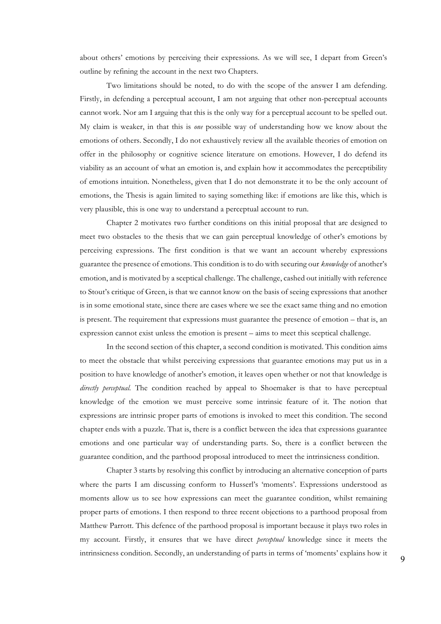about others' emotions by perceiving their expressions. As we will see, I depart from Green's outline by refining the account in the next two Chapters.

Two limitations should be noted, to do with the scope of the answer I am defending. Firstly, in defending a perceptual account, I am not arguing that other non-perceptual accounts cannot work. Nor am I arguing that this is the only way for a perceptual account to be spelled out. My claim is weaker, in that this is *one* possible way of understanding how we know about the emotions of others. Secondly, I do not exhaustively review all the available theories of emotion on offer in the philosophy or cognitive science literature on emotions. However, I do defend its viability as an account of what an emotion is, and explain how it accommodates the perceptibility of emotions intuition. Nonetheless, given that I do not demonstrate it to be the only account of emotions, the Thesis is again limited to saying something like: if emotions are like this, which is very plausible, this is one way to understand a perceptual account to run.

Chapter 2 motivates two further conditions on this initial proposal that are designed to meet two obstacles to the thesis that we can gain perceptual knowledge of other's emotions by perceiving expressions. The first condition is that we want an account whereby expressions guarantee the presence of emotions. This condition is to do with securing our *knowledge* of another's emotion, and is motivated by a sceptical challenge. The challenge, cashed out initially with reference to Stout's critique of Green, is that we cannot know on the basis of seeing expressions that another is in some emotional state, since there are cases where we see the exact same thing and no emotion is present. The requirement that expressions must guarantee the presence of emotion – that is, an expression cannot exist unless the emotion is present – aims to meet this sceptical challenge.

In the second section of this chapter, a second condition is motivated. This condition aims to meet the obstacle that whilst perceiving expressions that guarantee emotions may put us in a position to have knowledge of another's emotion, it leaves open whether or not that knowledge is *directly perceptual*. The condition reached by appeal to Shoemaker is that to have perceptual knowledge of the emotion we must perceive some intrinsic feature of it. The notion that expressions are intrinsic proper parts of emotions is invoked to meet this condition. The second chapter ends with a puzzle. That is, there is a conflict between the idea that expressions guarantee emotions and one particular way of understanding parts. So, there is a conflict between the guarantee condition, and the parthood proposal introduced to meet the intrinsicness condition.

Chapter 3 starts by resolving this conflict by introducing an alternative conception of parts where the parts I am discussing conform to Husserl's 'moments'. Expressions understood as moments allow us to see how expressions can meet the guarantee condition, whilst remaining proper parts of emotions. I then respond to three recent objections to a parthood proposal from Matthew Parrott. This defence of the parthood proposal is important because it plays two roles in my account. Firstly, it ensures that we have direct *perceptual* knowledge since it meets the intrinsicness condition. Secondly, an understanding of parts in terms of 'moments' explains how it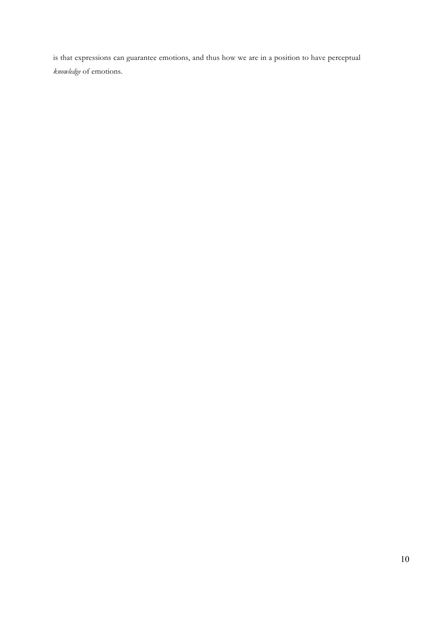is that expressions can guarantee emotions, and thus how we are in a position to have perceptual *knowledge* of emotions.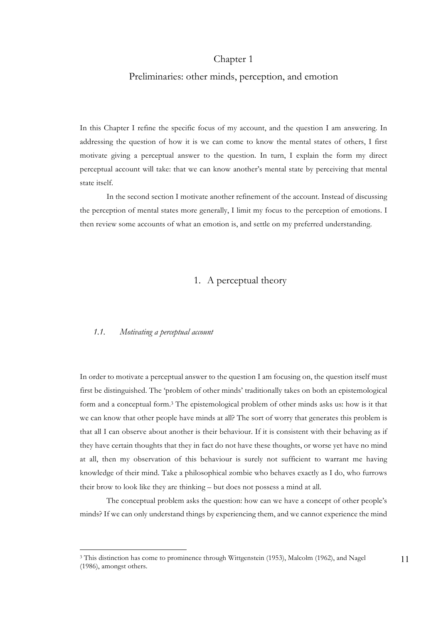## Chapter 1

#### Preliminaries: other minds, perception, and emotion

In this Chapter I refine the specific focus of my account, and the question I am answering. In addressing the question of how it is we can come to know the mental states of others, I first motivate giving a perceptual answer to the question. In turn, I explain the form my direct perceptual account will take: that we can know another's mental state by perceiving that mental state itself.

In the second section I motivate another refinement of the account. Instead of discussing the perception of mental states more generally, I limit my focus to the perception of emotions. I then review some accounts of what an emotion is, and settle on my preferred understanding.

## 1. A perceptual theory

#### *1.1. Motivating a perceptual account*

 $\overline{a}$ 

In order to motivate a perceptual answer to the question I am focusing on, the question itself must first be distinguished. The 'problem of other minds' traditionally takes on both an epistemological form and a conceptual form.3 The epistemological problem of other minds asks us: how is it that we can know that other people have minds at all? The sort of worry that generates this problem is that all I can observe about another is their behaviour. If it is consistent with their behaving as if they have certain thoughts that they in fact do not have these thoughts, or worse yet have no mind at all, then my observation of this behaviour is surely not sufficient to warrant me having knowledge of their mind. Take a philosophical zombie who behaves exactly as I do, who furrows their brow to look like they are thinking – but does not possess a mind at all.

The conceptual problem asks the question: how can we have a concept of other people's minds? If we can only understand things by experiencing them, and we cannot experience the mind

<sup>3</sup> This distinction has come to prominence through Wittgenstein (1953), Malcolm (1962), and Nagel (1986), amongst others.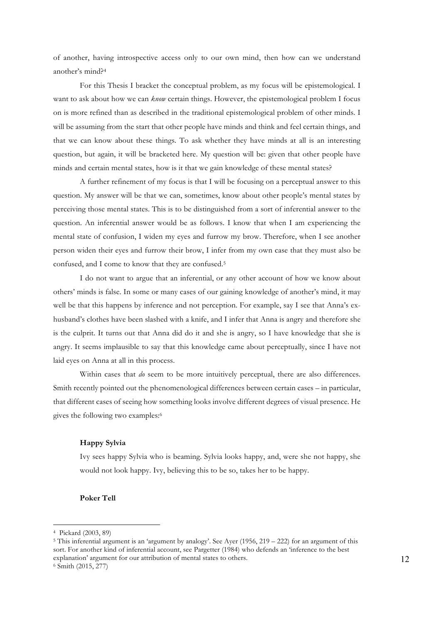of another, having introspective access only to our own mind, then how can we understand another's mind?4

For this Thesis I bracket the conceptual problem, as my focus will be epistemological. I want to ask about how we can *know* certain things. However, the epistemological problem I focus on is more refined than as described in the traditional epistemological problem of other minds. I will be assuming from the start that other people have minds and think and feel certain things, and that we can know about these things. To ask whether they have minds at all is an interesting question, but again, it will be bracketed here. My question will be: given that other people have minds and certain mental states, how is it that we gain knowledge of these mental states?

A further refinement of my focus is that I will be focusing on a perceptual answer to this question. My answer will be that we can, sometimes, know about other people's mental states by perceiving those mental states. This is to be distinguished from a sort of inferential answer to the question. An inferential answer would be as follows. I know that when I am experiencing the mental state of confusion, I widen my eyes and furrow my brow. Therefore, when I see another person widen their eyes and furrow their brow, I infer from my own case that they must also be confused, and I come to know that they are confused.5

I do not want to argue that an inferential, or any other account of how we know about others' minds is false. In some or many cases of our gaining knowledge of another's mind, it may well be that this happens by inference and not perception. For example, say I see that Anna's exhusband's clothes have been slashed with a knife, and I infer that Anna is angry and therefore she is the culprit. It turns out that Anna did do it and she is angry, so I have knowledge that she is angry. It seems implausible to say that this knowledge came about perceptually, since I have not laid eyes on Anna at all in this process.

Within cases that *do* seem to be more intuitively perceptual, there are also differences. Smith recently pointed out the phenomenological differences between certain cases – in particular, that different cases of seeing how something looks involve different degrees of visual presence. He gives the following two examples:6

#### **Happy Sylvia**

Ivy sees happy Sylvia who is beaming. Sylvia looks happy, and, were she not happy, she would not look happy. Ivy, believing this to be so, takes her to be happy.

#### **Poker Tell**

<sup>4</sup> Pickard (2003, 89)

<sup>5</sup> This inferential argument is an 'argument by analogy'. See Ayer (1956, 219 – 222) for an argument of this sort. For another kind of inferential account, see Pargetter (1984) who defends an 'inference to the best explanation' argument for our attribution of mental states to others. <sup>6</sup> Smith (2015, 277)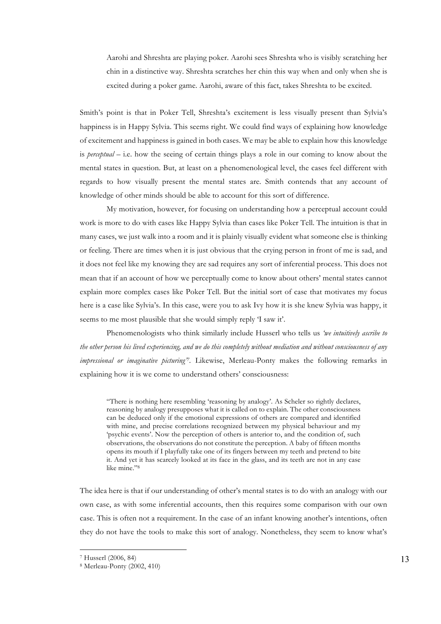Aarohi and Shreshta are playing poker. Aarohi sees Shreshta who is visibly scratching her chin in a distinctive way. Shreshta scratches her chin this way when and only when she is excited during a poker game. Aarohi, aware of this fact, takes Shreshta to be excited.

Smith's point is that in Poker Tell, Shreshta's excitement is less visually present than Sylvia's happiness is in Happy Sylvia. This seems right. We could find ways of explaining how knowledge of excitement and happiness is gained in both cases. We may be able to explain how this knowledge is *perceptual* – i.e. how the seeing of certain things plays a role in our coming to know about the mental states in question. But, at least on a phenomenological level, the cases feel different with regards to how visually present the mental states are. Smith contends that any account of knowledge of other minds should be able to account for this sort of difference.

My motivation, however, for focusing on understanding how a perceptual account could work is more to do with cases like Happy Sylvia than cases like Poker Tell. The intuition is that in many cases, we just walk into a room and it is plainly visually evident what someone else is thinking or feeling. There are times when it is just obvious that the crying person in front of me is sad, and it does not feel like my knowing they are sad requires any sort of inferential process. This does not mean that if an account of how we perceptually come to know about others' mental states cannot explain more complex cases like Poker Tell. But the initial sort of case that motivates my focus here is a case like Sylvia's. In this case, were you to ask Ivy how it is she knew Sylvia was happy, it seems to me most plausible that she would simply reply 'I saw it'.

Phenomenologists who think similarly include Husserl who tells us *'we intuitively ascribe to the other person his lived experiencing, and we do this completely without mediation and without consciousness of any impressional or imaginative picturing'7.* Likewise, Merleau-Ponty makes the following remarks in explaining how it is we come to understand others' consciousness:

"There is nothing here resembling 'reasoning by analogy'. As Scheler so rightly declares, reasoning by analogy presupposes what it is called on to explain. The other consciousness can be deduced only if the emotional expressions of others are compared and identified with mine, and precise correlations recognized between my physical behaviour and my 'psychic events'. Now the perception of others is anterior to, and the condition of, such observations, the observations do not constitute the perception. A baby of fifteen months opens its mouth if I playfully take one of its fingers between my teeth and pretend to bite it. And yet it has scarcely looked at its face in the glass, and its teeth are not in any case like mine."8

The idea here is that if our understanding of other's mental states is to do with an analogy with our own case, as with some inferential accounts, then this requires some comparison with our own case. This is often not a requirement. In the case of an infant knowing another's intentions, often they do not have the tools to make this sort of analogy. Nonetheless, they seem to know what's

<sup>7</sup> Husserl (2006, 84)

<sup>8</sup> Merleau-Ponty (2002, 410)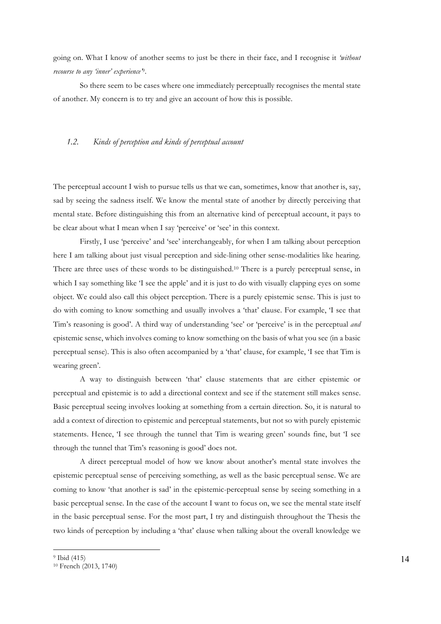going on. What I know of another seems to just be there in their face, and I recognise it *'without recourse to any 'inner' experience'*9.

So there seem to be cases where one immediately perceptually recognises the mental state of another. My concern is to try and give an account of how this is possible.

#### *1.2. Kinds of perception and kinds of perceptual account*

The perceptual account I wish to pursue tells us that we can, sometimes, know that another is, say, sad by seeing the sadness itself. We know the mental state of another by directly perceiving that mental state. Before distinguishing this from an alternative kind of perceptual account, it pays to be clear about what I mean when I say 'perceive' or 'see' in this context.

Firstly, I use 'perceive' and 'see' interchangeably, for when I am talking about perception here I am talking about just visual perception and side-lining other sense-modalities like hearing. There are three uses of these words to be distinguished.10 There is a purely perceptual sense, in which I say something like 'I see the apple' and it is just to do with visually clapping eyes on some object. We could also call this object perception. There is a purely epistemic sense. This is just to do with coming to know something and usually involves a 'that' clause. For example, 'I see that Tim's reasoning is good'. A third way of understanding 'see' or 'perceive' is in the perceptual *and*  epistemic sense, which involves coming to know something on the basis of what you see (in a basic perceptual sense). This is also often accompanied by a 'that' clause, for example, 'I see that Tim is wearing green'.

A way to distinguish between 'that' clause statements that are either epistemic or perceptual and epistemic is to add a directional context and see if the statement still makes sense. Basic perceptual seeing involves looking at something from a certain direction. So, it is natural to add a context of direction to epistemic and perceptual statements, but not so with purely epistemic statements. Hence, 'I see through the tunnel that Tim is wearing green' sounds fine, but 'I see through the tunnel that Tim's reasoning is good' does not.

A direct perceptual model of how we know about another's mental state involves the epistemic perceptual sense of perceiving something, as well as the basic perceptual sense. We are coming to know 'that another is sad' in the epistemic-perceptual sense by seeing something in a basic perceptual sense. In the case of the account I want to focus on, we see the mental state itself in the basic perceptual sense. For the most part, I try and distinguish throughout the Thesis the two kinds of perception by including a 'that' clause when talking about the overall knowledge we

<sup>9</sup> Ibid (415)

<sup>10</sup> French (2013, 1740)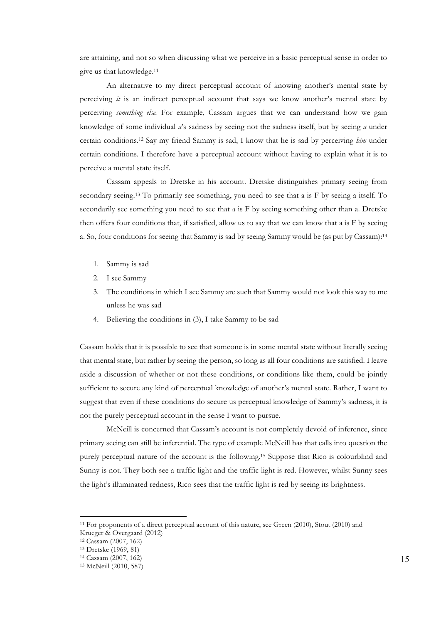are attaining, and not so when discussing what we perceive in a basic perceptual sense in order to give us that knowledge.11

An alternative to my direct perceptual account of knowing another's mental state by perceiving *it* is an indirect perceptual account that says we know another's mental state by perceiving *something else.* For example, Cassam argues that we can understand how we gain knowledge of some individual *a*'s sadness by seeing not the sadness itself, but by seeing *a* under certain conditions.12 Say my friend Sammy is sad, I know that he is sad by perceiving *him* under certain conditions. I therefore have a perceptual account without having to explain what it is to perceive a mental state itself.

Cassam appeals to Dretske in his account. Dretske distinguishes primary seeing from secondary seeing.13 To primarily see something, you need to see that a is F by seeing a itself. To secondarily see something you need to see that a is F by seeing something other than a. Dretske then offers four conditions that, if satisfied, allow us to say that we can know that a is F by seeing a. So, four conditions for seeing that Sammy is sad by seeing Sammy would be (as put by Cassam):14

- 1. Sammy is sad
- 2. I see Sammy
- 3. The conditions in which I see Sammy are such that Sammy would not look this way to me unless he was sad
- 4. Believing the conditions in (3), I take Sammy to be sad

Cassam holds that it is possible to see that someone is in some mental state without literally seeing that mental state, but rather by seeing the person, so long as all four conditions are satisfied. I leave aside a discussion of whether or not these conditions, or conditions like them, could be jointly sufficient to secure any kind of perceptual knowledge of another's mental state. Rather, I want to suggest that even if these conditions do secure us perceptual knowledge of Sammy's sadness, it is not the purely perceptual account in the sense I want to pursue.

McNeill is concerned that Cassam's account is not completely devoid of inference, since primary seeing can still be inferential. The type of example McNeill has that calls into question the purely perceptual nature of the account is the following.15 Suppose that Rico is colourblind and Sunny is not. They both see a traffic light and the traffic light is red. However, whilst Sunny sees the light's illuminated redness, Rico sees that the traffic light is red by seeing its brightness.

<sup>11</sup> For proponents of a direct perceptual account of this nature, see Green (2010), Stout (2010) and Krueger & Overgaard (2012)

<sup>12</sup> Cassam (2007, 162)

<sup>13</sup> Dretske (1969, 81)

<sup>14</sup> Cassam (2007, 162)

<sup>15</sup> McNeill (2010, 587)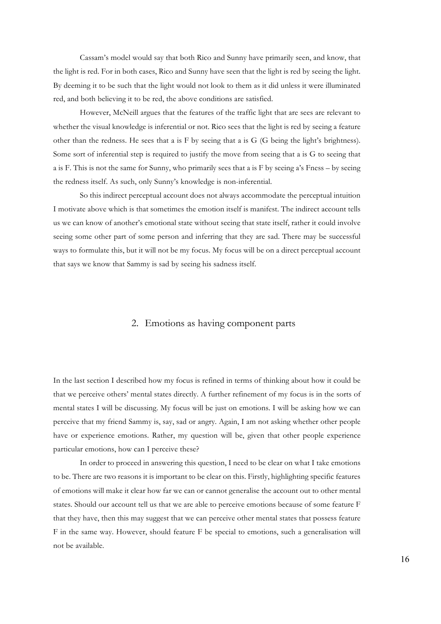Cassam's model would say that both Rico and Sunny have primarily seen, and know, that the light is red. For in both cases, Rico and Sunny have seen that the light is red by seeing the light. By deeming it to be such that the light would not look to them as it did unless it were illuminated red, and both believing it to be red, the above conditions are satisfied.

However, McNeill argues that the features of the traffic light that are sees are relevant to whether the visual knowledge is inferential or not. Rico sees that the light is red by seeing a feature other than the redness. He sees that a is F by seeing that a is G (G being the light's brightness). Some sort of inferential step is required to justify the move from seeing that a is G to seeing that a is F. This is not the same for Sunny, who primarily sees that a is F by seeing a's Fness – by seeing the redness itself. As such, only Sunny's knowledge is non-inferential.

So this indirect perceptual account does not always accommodate the perceptual intuition I motivate above which is that sometimes the emotion itself is manifest. The indirect account tells us we can know of another's emotional state without seeing that state itself, rather it could involve seeing some other part of some person and inferring that they are sad. There may be successful ways to formulate this, but it will not be my focus. My focus will be on a direct perceptual account that says we know that Sammy is sad by seeing his sadness itself.

### 2. Emotions as having component parts

In the last section I described how my focus is refined in terms of thinking about how it could be that we perceive others' mental states directly. A further refinement of my focus is in the sorts of mental states I will be discussing. My focus will be just on emotions. I will be asking how we can perceive that my friend Sammy is, say, sad or angry. Again, I am not asking whether other people have or experience emotions. Rather, my question will be, given that other people experience particular emotions, how can I perceive these?

In order to proceed in answering this question, I need to be clear on what I take emotions to be. There are two reasons it is important to be clear on this. Firstly, highlighting specific features of emotions will make it clear how far we can or cannot generalise the account out to other mental states. Should our account tell us that we are able to perceive emotions because of some feature F that they have, then this may suggest that we can perceive other mental states that possess feature F in the same way. However, should feature F be special to emotions, such a generalisation will not be available.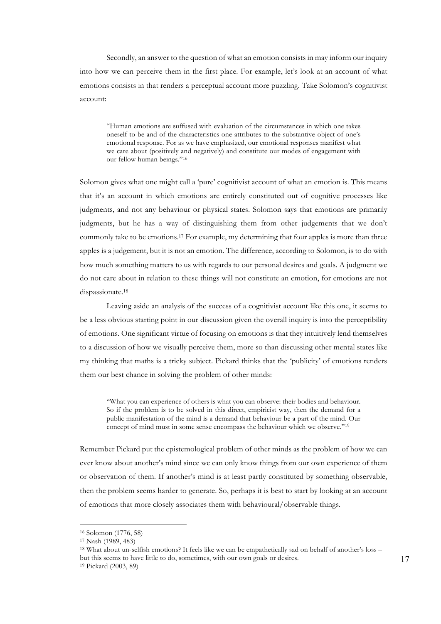Secondly, an answer to the question of what an emotion consists in may inform our inquiry into how we can perceive them in the first place. For example, let's look at an account of what emotions consists in that renders a perceptual account more puzzling. Take Solomon's cognitivist account:

"Human emotions are suffused with evaluation of the circumstances in which one takes oneself to be and of the characteristics one attributes to the substantive object of one's emotional response. For as we have emphasized, our emotional responses manifest what we care about (positively and negatively) and constitute our modes of engagement with our fellow human beings."16

Solomon gives what one might call a 'pure' cognitivist account of what an emotion is. This means that it's an account in which emotions are entirely constituted out of cognitive processes like judgments, and not any behaviour or physical states. Solomon says that emotions are primarily judgments, but he has a way of distinguishing them from other judgements that we don't commonly take to be emotions.17 For example, my determining that four apples is more than three apples is a judgement, but it is not an emotion. The difference, according to Solomon, is to do with how much something matters to us with regards to our personal desires and goals. A judgment we do not care about in relation to these things will not constitute an emotion, for emotions are not dispassionate.18

Leaving aside an analysis of the success of a cognitivist account like this one, it seems to be a less obvious starting point in our discussion given the overall inquiry is into the perceptibility of emotions. One significant virtue of focusing on emotions is that they intuitively lend themselves to a discussion of how we visually perceive them, more so than discussing other mental states like my thinking that maths is a tricky subject. Pickard thinks that the 'publicity' of emotions renders them our best chance in solving the problem of other minds:

"What you can experience of others is what you can observe: their bodies and behaviour. So if the problem is to be solved in this direct, empiricist way, then the demand for a public manifestation of the mind is a demand that behaviour be a part of the mind. Our concept of mind must in some sense encompass the behaviour which we observe."19

Remember Pickard put the epistemological problem of other minds as the problem of how we can ever know about another's mind since we can only know things from our own experience of them or observation of them. If another's mind is at least partly constituted by something observable, then the problem seems harder to generate. So, perhaps it is best to start by looking at an account of emotions that more closely associates them with behavioural/observable things.

<sup>16</sup> Solomon (1776, 58)

<sup>17</sup> Nash (1989, 483)

<sup>18</sup> What about un-selfish emotions? It feels like we can be empathetically sad on behalf of another's loss – but this seems to have little to do, sometimes, with our own goals or desires.

<sup>19</sup> Pickard (2003, 89)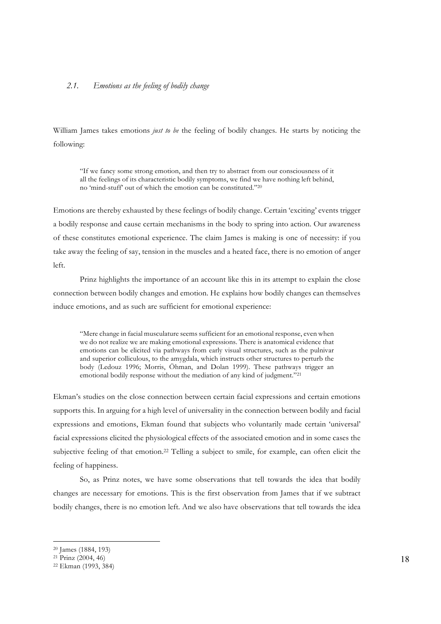## *2.1. Emotions as the feeling of bodily change*

William James takes emotions *just to be* the feeling of bodily changes. He starts by noticing the following:

"If we fancy some strong emotion, and then try to abstract from our consciousness of it all the feelings of its characteristic bodily symptoms, we find we have nothing left behind, no 'mind-stuff' out of which the emotion can be constituted."20

Emotions are thereby exhausted by these feelings of bodily change. Certain 'exciting' events trigger a bodily response and cause certain mechanisms in the body to spring into action. Our awareness of these constitutes emotional experience. The claim James is making is one of necessity: if you take away the feeling of say, tension in the muscles and a heated face, there is no emotion of anger left.

Prinz highlights the importance of an account like this in its attempt to explain the close connection between bodily changes and emotion. He explains how bodily changes can themselves induce emotions, and as such are sufficient for emotional experience:

"Mere change in facial musculature seems sufficient for an emotional response, even when we do not realize we are making emotional expressions. There is anatomical evidence that emotions can be elicited via pathways from early visual structures, such as the pulnivar and superior colliculous, to the amygdala, which instructs other structures to perturb the body (Ledouz 1996; Morris, Öhman, and Dolan 1999). These pathways trigger an emotional bodily response without the mediation of any kind of judgment."21

Ekman's studies on the close connection between certain facial expressions and certain emotions supports this. In arguing for a high level of universality in the connection between bodily and facial expressions and emotions, Ekman found that subjects who voluntarily made certain 'universal' facial expressions elicited the physiological effects of the associated emotion and in some cases the subjective feeling of that emotion.<sup>22</sup> Telling a subject to smile, for example, can often elicit the feeling of happiness.

So, as Prinz notes, we have some observations that tell towards the idea that bodily changes are necessary for emotions. This is the first observation from James that if we subtract bodily changes, there is no emotion left. And we also have observations that tell towards the idea

<sup>20</sup> James (1884, 193)

 $21$  Prinz (2004, 46)

<sup>22</sup> Ekman (1993, 384)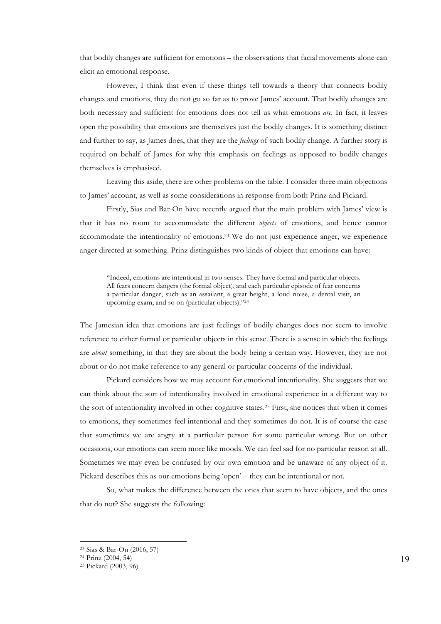that bodily changes are sufficient for emotions – the observations that facial movements alone can elicit an emotional response.

However, I think that even if these things tell towards a theory that connects bodily changes and emotions, they do not go so far as to prove James' account. That bodily changes are both necessary and sufficient for emotions does not tell us what emotions *are.* In fact, it leaves open the possibility that emotions are themselves just the bodily changes. It is something distinct and further to say, as James does, that they are the *feelings* of such bodily change. A further story is required on behalf of James for why this emphasis on feelings as opposed to bodily changes themselves is emphasised.

Leaving this aside, there are other problems on the table. I consider three main objections to James' account, as well as some considerations in response from both Prinz and Pickard.

Firstly, Sias and Bar-On have recently argued that the main problem with James' view is that it has no room to accommodate the different *objects* of emotions, and hence cannot accommodate the intentionality of emotions.23 We do not just experience anger, we experience anger directed at something. Prinz distinguishes two kinds of object that emotions can have:

"Indeed, emotions are intentional in two senses. They have formal and particular objects. All fears concern dangers (the formal object), and each particular episode of fear concerns a particular danger, such as an assailant, a great height, a loud noise, a dental visit, an upcoming exam, and so on (particular objects)."24

The Jamesian idea that emotions are just feelings of bodily changes does not seem to involve reference to either formal or particular objects in this sense. There is a sense in which the feelings are *about* something, in that they are about the body being a certain way. However, they are not about or do not make reference to any general or particular concerns of the individual.

Pickard considers how we may account for emotional intentionality. She suggests that we can think about the sort of intentionality involved in emotional experience in a different way to the sort of intentionality involved in other cognitive states.25 First, she notices that when it comes to emotions, they sometimes feel intentional and they sometimes do not. It is of course the case that sometimes we are angry at a particular person for some particular wrong. But on other occasions, our emotions can seem more like moods. We can feel sad for no particular reason at all. Sometimes we may even be confused by our own emotion and be unaware of any object of it. Pickard describes this as our emotions being 'open' – they can be intentional or not.

So, what makes the difference between the ones that seem to have objects, and the ones that do not? She suggests the following:

<sup>23</sup> Sias & Bar-On (2016, 57)

<sup>24</sup> Prinz (2004, 54)

<sup>25</sup> Pickard (2003, 96)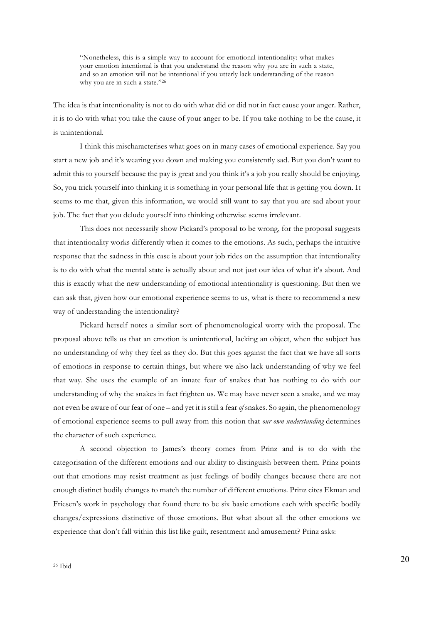"Nonetheless, this is a simple way to account for emotional intentionality: what makes your emotion intentional is that you understand the reason why you are in such a state, and so an emotion will not be intentional if you utterly lack understanding of the reason why you are in such a state."26

The idea is that intentionality is not to do with what did or did not in fact cause your anger. Rather, it is to do with what you take the cause of your anger to be. If you take nothing to be the cause, it is unintentional.

I think this mischaracterises what goes on in many cases of emotional experience. Say you start a new job and it's wearing you down and making you consistently sad. But you don't want to admit this to yourself because the pay is great and you think it's a job you really should be enjoying. So, you trick yourself into thinking it is something in your personal life that is getting you down. It seems to me that, given this information, we would still want to say that you are sad about your job. The fact that you delude yourself into thinking otherwise seems irrelevant.

This does not necessarily show Pickard's proposal to be wrong, for the proposal suggests that intentionality works differently when it comes to the emotions. As such, perhaps the intuitive response that the sadness in this case is about your job rides on the assumption that intentionality is to do with what the mental state is actually about and not just our idea of what it's about. And this is exactly what the new understanding of emotional intentionality is questioning. But then we can ask that, given how our emotional experience seems to us, what is there to recommend a new way of understanding the intentionality?

Pickard herself notes a similar sort of phenomenological worry with the proposal. The proposal above tells us that an emotion is unintentional, lacking an object, when the subject has no understanding of why they feel as they do. But this goes against the fact that we have all sorts of emotions in response to certain things, but where we also lack understanding of why we feel that way. She uses the example of an innate fear of snakes that has nothing to do with our understanding of why the snakes in fact frighten us. We may have never seen a snake, and we may not even be aware of our fear of one – and yet it is still a fear *of* snakes. So again, the phenomenology of emotional experience seems to pull away from this notion that *our own understanding* determines the character of such experience.

A second objection to James's theory comes from Prinz and is to do with the categorisation of the different emotions and our ability to distinguish between them. Prinz points out that emotions may resist treatment as just feelings of bodily changes because there are not enough distinct bodily changes to match the number of different emotions. Prinz cites Ekman and Friesen's work in psychology that found there to be six basic emotions each with specific bodily changes/expressions distinctive of those emotions. But what about all the other emotions we experience that don't fall within this list like guilt, resentment and amusement? Prinz asks: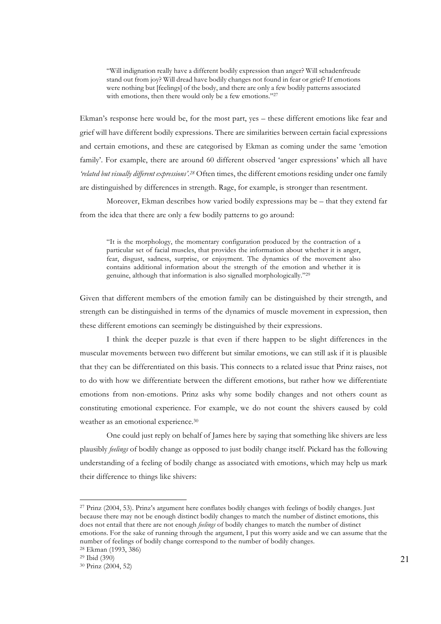"Will indignation really have a different bodily expression than anger? Will schadenfreude stand out from joy? Will dread have bodily changes not found in fear or grief? If emotions were nothing but [feelings] of the body, and there are only a few bodily patterns associated with emotions, then there would only be a few emotions."27

Ekman's response here would be, for the most part, yes – these different emotions like fear and grief will have different bodily expressions. There are similarities between certain facial expressions and certain emotions, and these are categorised by Ekman as coming under the same 'emotion family'. For example, there are around 60 different observed 'anger expressions' which all have *'related but visually different expressions'.28* Often times, the different emotions residing under one family are distinguished by differences in strength. Rage, for example, is stronger than resentment.

Moreover, Ekman describes how varied bodily expressions may be – that they extend far from the idea that there are only a few bodily patterns to go around:

"It is the morphology, the momentary configuration produced by the contraction of a particular set of facial muscles, that provides the information about whether it is anger, fear, disgust, sadness, surprise, or enjoyment. The dynamics of the movement also contains additional information about the strength of the emotion and whether it is genuine, although that information is also signalled morphologically."29

Given that different members of the emotion family can be distinguished by their strength, and strength can be distinguished in terms of the dynamics of muscle movement in expression, then these different emotions can seemingly be distinguished by their expressions.

I think the deeper puzzle is that even if there happen to be slight differences in the muscular movements between two different but similar emotions, we can still ask if it is plausible that they can be differentiated on this basis. This connects to a related issue that Prinz raises, not to do with how we differentiate between the different emotions, but rather how we differentiate emotions from non-emotions. Prinz asks why some bodily changes and not others count as constituting emotional experience. For example, we do not count the shivers caused by cold weather as an emotional experience.<sup>30</sup>

One could just reply on behalf of James here by saying that something like shivers are less plausibly *feelings* of bodily change as opposed to just bodily change itself. Pickard has the following understanding of a feeling of bodily change as associated with emotions, which may help us mark their difference to things like shivers:

<sup>27</sup> Prinz (2004, 53). Prinz's argument here conflates bodily changes with feelings of bodily changes. Just because there may not be enough distinct bodily changes to match the number of distinct emotions, this does not entail that there are not enough *feelings* of bodily changes to match the number of distinct emotions. For the sake of running through the argument, I put this worry aside and we can assume that the number of feelings of bodily change correspond to the number of bodily changes. 28 Ekman (1993, 386)

<sup>29</sup> Ibid (390)

<sup>30</sup> Prinz (2004, 52)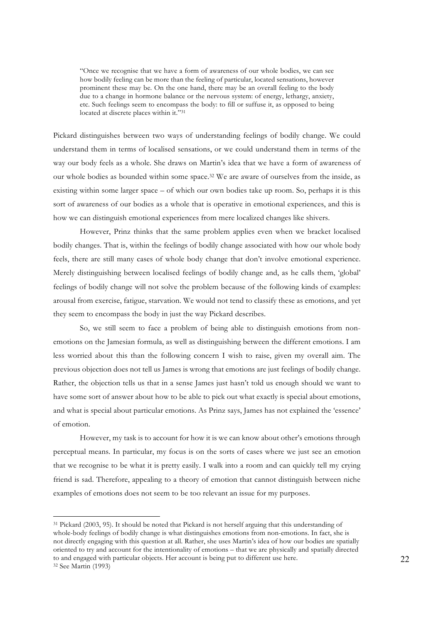"Once we recognise that we have a form of awareness of our whole bodies, we can see how bodily feeling can be more than the feeling of particular, located sensations, however prominent these may be. On the one hand, there may be an overall feeling to the body due to a change in hormone balance or the nervous system: of energy, lethargy, anxiety, etc. Such feelings seem to encompass the body: to fill or suffuse it, as opposed to being located at discrete places within it."31

Pickard distinguishes between two ways of understanding feelings of bodily change. We could understand them in terms of localised sensations, or we could understand them in terms of the way our body feels as a whole. She draws on Martin's idea that we have a form of awareness of our whole bodies as bounded within some space.32 We are aware of ourselves from the inside, as existing within some larger space – of which our own bodies take up room. So, perhaps it is this sort of awareness of our bodies as a whole that is operative in emotional experiences, and this is how we can distinguish emotional experiences from mere localized changes like shivers.

However, Prinz thinks that the same problem applies even when we bracket localised bodily changes. That is, within the feelings of bodily change associated with how our whole body feels, there are still many cases of whole body change that don't involve emotional experience. Merely distinguishing between localised feelings of bodily change and, as he calls them, 'global' feelings of bodily change will not solve the problem because of the following kinds of examples: arousal from exercise, fatigue, starvation. We would not tend to classify these as emotions, and yet they seem to encompass the body in just the way Pickard describes.

So, we still seem to face a problem of being able to distinguish emotions from nonemotions on the Jamesian formula, as well as distinguishing between the different emotions. I am less worried about this than the following concern I wish to raise, given my overall aim. The previous objection does not tell us James is wrong that emotions are just feelings of bodily change. Rather, the objection tells us that in a sense James just hasn't told us enough should we want to have some sort of answer about how to be able to pick out what exactly is special about emotions, and what is special about particular emotions. As Prinz says, James has not explained the 'essence' of emotion.

However, my task is to account for how it is we can know about other's emotions through perceptual means. In particular, my focus is on the sorts of cases where we just see an emotion that we recognise to be what it is pretty easily. I walk into a room and can quickly tell my crying friend is sad. Therefore, appealing to a theory of emotion that cannot distinguish between niche examples of emotions does not seem to be too relevant an issue for my purposes.

<sup>31</sup> Pickard (2003, 95). It should be noted that Pickard is not herself arguing that this understanding of whole-body feelings of bodily change is what distinguishes emotions from non-emotions. In fact, she is not directly engaging with this question at all. Rather, she uses Martin's idea of how our bodies are spatially oriented to try and account for the intentionality of emotions – that we are physically and spatially directed to and engaged with particular objects. Her account is being put to different use here. <sup>32</sup> See Martin (1993)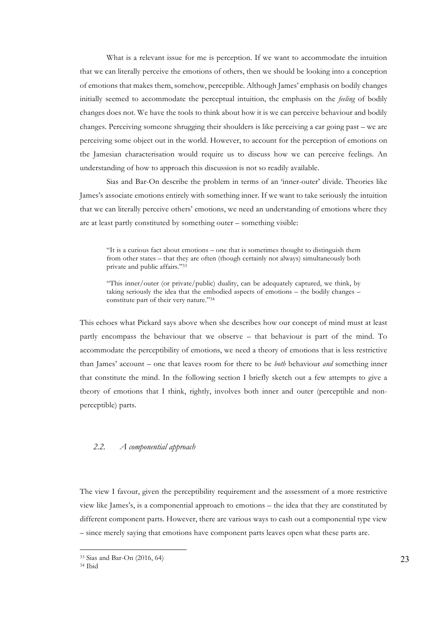What is a relevant issue for me is perception. If we want to accommodate the intuition that we can literally perceive the emotions of others, then we should be looking into a conception of emotions that makes them, somehow, perceptible. Although James' emphasis on bodily changes initially seemed to accommodate the perceptual intuition, the emphasis on the *feeling* of bodily changes does not. We have the tools to think about how it is we can perceive behaviour and bodily changes. Perceiving someone shrugging their shoulders is like perceiving a car going past – we are perceiving some object out in the world. However, to account for the perception of emotions on the Jamesian characterisation would require us to discuss how we can perceive feelings. An understanding of how to approach this discussion is not so readily available.

Sias and Bar-On describe the problem in terms of an 'inner-outer' divide. Theories like James's associate emotions entirely with something inner. If we want to take seriously the intuition that we can literally perceive others' emotions, we need an understanding of emotions where they are at least partly constituted by something outer – something visible:

"It is a curious fact about emotions – one that is sometimes thought to distinguish them from other states – that they are often (though certainly not always) simultaneously both private and public affairs."33

"This inner/outer (or private/public) duality, can be adequately captured, we think, by taking seriously the idea that the embodied aspects of emotions – the bodily changes – constitute part of their very nature."34

This echoes what Pickard says above when she describes how our concept of mind must at least partly encompass the behaviour that we observe – that behaviour is part of the mind. To accommodate the perceptibility of emotions, we need a theory of emotions that is less restrictive than James' account – one that leaves room for there to be *both* behaviour *and* something inner that constitute the mind. In the following section I briefly sketch out a few attempts to give a theory of emotions that I think, rightly, involves both inner and outer (perceptible and nonperceptible) parts.

#### *2.2. A componential approach*

The view I favour, given the perceptibility requirement and the assessment of a more restrictive view like James's, is a componential approach to emotions – the idea that they are constituted by different component parts. However, there are various ways to cash out a componential type view – since merely saying that emotions have component parts leaves open what these parts are.

<sup>33</sup> Sias and Bar-On (2016, 64)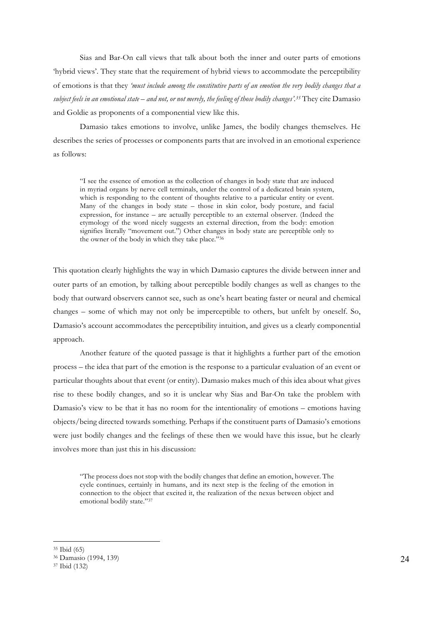Sias and Bar-On call views that talk about both the inner and outer parts of emotions 'hybrid views'. They state that the requirement of hybrid views to accommodate the perceptibility of emotions is that they *'must include among the constitutive parts of an emotion the very bodily changes that a subject feels in an emotional state – and not, or not merely, the feeling of those bodily changes'.35* They cite Damasio and Goldie as proponents of a componential view like this.

Damasio takes emotions to involve, unlike James, the bodily changes themselves. He describes the series of processes or components parts that are involved in an emotional experience as follows:

"I see the essence of emotion as the collection of changes in body state that are induced in myriad organs by nerve cell terminals, under the control of a dedicated brain system, which is responding to the content of thoughts relative to a particular entity or event. Many of the changes in body state – those in skin color, body posture, and facial expression, for instance – are actually perceptible to an external observer. (Indeed the etymology of the word nicely suggests an external direction, from the body: emotion signifies literally "movement out.") Other changes in body state are perceptible only to the owner of the body in which they take place."36

This quotation clearly highlights the way in which Damasio captures the divide between inner and outer parts of an emotion, by talking about perceptible bodily changes as well as changes to the body that outward observers cannot see, such as one's heart beating faster or neural and chemical changes – some of which may not only be imperceptible to others, but unfelt by oneself. So, Damasio's account accommodates the perceptibility intuition, and gives us a clearly componential approach.

Another feature of the quoted passage is that it highlights a further part of the emotion process – the idea that part of the emotion is the response to a particular evaluation of an event or particular thoughts about that event (or entity). Damasio makes much of this idea about what gives rise to these bodily changes, and so it is unclear why Sias and Bar-On take the problem with Damasio's view to be that it has no room for the intentionality of emotions – emotions having objects/being directed towards something. Perhaps if the constituent parts of Damasio's emotions were just bodily changes and the feelings of these then we would have this issue, but he clearly involves more than just this in his discussion:

"The process does not stop with the bodily changes that define an emotion, however. The cycle continues, certainly in humans, and its next step is the feeling of the emotion in connection to the object that excited it, the realization of the nexus between object and emotional bodily state."37

 $\overline{a}$ <sup>35</sup> Ibid (65)

<sup>36</sup> Damasio (1994, 139) 37 Ibid (132)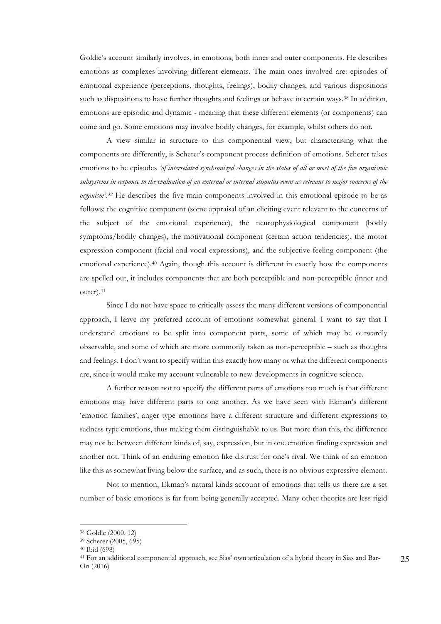Goldie's account similarly involves, in emotions, both inner and outer components. He describes emotions as complexes involving different elements. The main ones involved are: episodes of emotional experience (perceptions, thoughts, feelings), bodily changes, and various dispositions such as dispositions to have further thoughts and feelings or behave in certain ways.<sup>38</sup> In addition, emotions are episodic and dynamic - meaning that these different elements (or components) can come and go. Some emotions may involve bodily changes, for example, whilst others do not.

A view similar in structure to this componential view, but characterising what the components are differently, is Scherer's component process definition of emotions. Scherer takes emotions to be episodes *'of interrelated synchronized changes in the states of all or most of the five organismic subsystems in response to the evaluation of an external or internal stimulus event as relevant to major concerns of the organism'.39* He describes the five main components involved in this emotional episode to be as follows: the cognitive component (some appraisal of an eliciting event relevant to the concerns of the subject of the emotional experience), the neurophysiological component (bodily symptoms/bodily changes), the motivational component (certain action tendencies), the motor expression component (facial and vocal expressions), and the subjective feeling component (the emotional experience).<sup>40</sup> Again, though this account is different in exactly how the components are spelled out, it includes components that are both perceptible and non-perceptible (inner and outer).41

Since I do not have space to critically assess the many different versions of componential approach, I leave my preferred account of emotions somewhat general. I want to say that I understand emotions to be split into component parts, some of which may be outwardly observable, and some of which are more commonly taken as non-perceptible – such as thoughts and feelings. I don't want to specify within this exactly how many or what the different components are, since it would make my account vulnerable to new developments in cognitive science.

A further reason not to specify the different parts of emotions too much is that different emotions may have different parts to one another. As we have seen with Ekman's different 'emotion families', anger type emotions have a different structure and different expressions to sadness type emotions, thus making them distinguishable to us. But more than this, the difference may not be between different kinds of, say, expression, but in one emotion finding expression and another not. Think of an enduring emotion like distrust for one's rival. We think of an emotion like this as somewhat living below the surface, and as such, there is no obvious expressive element.

Not to mention, Ekman's natural kinds account of emotions that tells us there are a set number of basic emotions is far from being generally accepted. Many other theories are less rigid

 $\overline{a}$ <sup>38</sup> Goldie (2000, 12)

<sup>39</sup> Scherer (2005, 695)

<sup>40</sup> Ibid (698)

<sup>41</sup> For an additional componential approach, see Sias' own articulation of a hybrid theory in Sias and Bar-On (2016)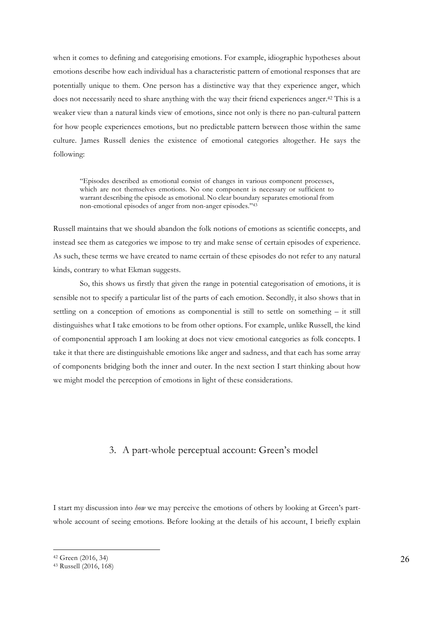when it comes to defining and categorising emotions. For example, idiographic hypotheses about emotions describe how each individual has a characteristic pattern of emotional responses that are potentially unique to them. One person has a distinctive way that they experience anger, which does not necessarily need to share anything with the way their friend experiences anger.42 This is a weaker view than a natural kinds view of emotions, since not only is there no pan-cultural pattern for how people experiences emotions, but no predictable pattern between those within the same culture. James Russell denies the existence of emotional categories altogether. He says the following:

"Episodes described as emotional consist of changes in various component processes, which are not themselves emotions. No one component is necessary or sufficient to warrant describing the episode as emotional. No clear boundary separates emotional from non-emotional episodes of anger from non-anger episodes."43

Russell maintains that we should abandon the folk notions of emotions as scientific concepts, and instead see them as categories we impose to try and make sense of certain episodes of experience. As such, these terms we have created to name certain of these episodes do not refer to any natural kinds, contrary to what Ekman suggests.

So, this shows us firstly that given the range in potential categorisation of emotions, it is sensible not to specify a particular list of the parts of each emotion. Secondly, it also shows that in settling on a conception of emotions as componential is still to settle on something – it still distinguishes what I take emotions to be from other options. For example, unlike Russell, the kind of componential approach I am looking at does not view emotional categories as folk concepts. I take it that there are distinguishable emotions like anger and sadness, and that each has some array of components bridging both the inner and outer. In the next section I start thinking about how we might model the perception of emotions in light of these considerations.

## 3. A part-whole perceptual account: Green's model

I start my discussion into *how* we may perceive the emotions of others by looking at Green's partwhole account of seeing emotions. Before looking at the details of his account, I briefly explain

<sup>42</sup> Green (2016, 34)

<sup>43</sup> Russell (2016, 168)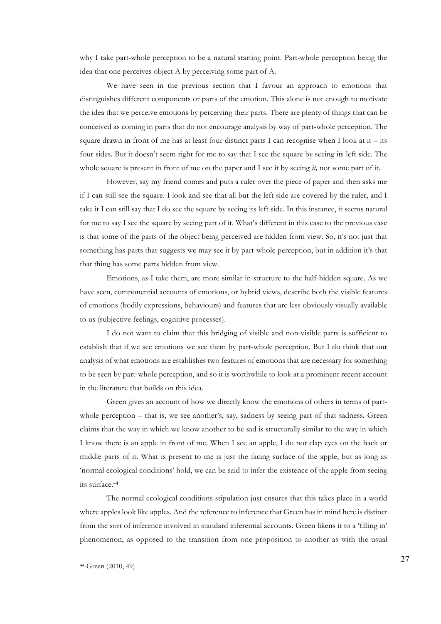why I take part-whole perception to be a natural starting point. Part-whole perception being the idea that one perceives object A by perceiving some part of A.

We have seen in the previous section that I favour an approach to emotions that distinguishes different components or parts of the emotion. This alone is not enough to motivate the idea that we perceive emotions by perceiving their parts. There are plenty of things that can be conceived as coming in parts that do not encourage analysis by way of part-whole perception. The square drawn in front of me has at least four distinct parts I can recognise when I look at it – its four sides. But it doesn't seem right for me to say that I see the square by seeing its left side. The whole square is present in front of me on the paper and I see it by seeing *it,* not some part of it.

However, say my friend comes and puts a ruler over the piece of paper and then asks me if I can still see the square. I look and see that all but the left side are covered by the ruler, and I take it I can still say that I do see the square by seeing its left side. In this instance, it seems natural for me to say I see the square by seeing part of it. What's different in this case to the previous case is that some of the parts of the object being perceived are hidden from view. So, it's not just that something has parts that suggests we may see it by part-whole perception, but in addition it's that that thing has some parts hidden from view.

Emotions, as I take them, are more similar in structure to the half-hidden square. As we have seen, componential accounts of emotions, or hybrid views, describe both the visible features of emotions (bodily expressions, behaviours) and features that are less obviously visually available to us (subjective feelings, cognitive processes).

I do not want to claim that this bridging of visible and non-visible parts is sufficient to establish that if we see emotions we see them by part-whole perception. But I do think that our analysis of what emotions are establishes two features of emotions that are necessary for something to be seen by part-whole perception, and so it is worthwhile to look at a prominent recent account in the literature that builds on this idea.

Green gives an account of how we directly know the emotions of others in terms of partwhole perception – that is, we see another's, say, sadness by seeing part of that sadness. Green claims that the way in which we know another to be sad is structurally similar to the way in which I know there is an apple in front of me. When I see an apple, I do not clap eyes on the back or middle parts of it. What is present to me is just the facing surface of the apple, but as long as 'normal ecological conditions' hold, we can be said to infer the existence of the apple from seeing its surface.44

The normal ecological conditions stipulation just ensures that this takes place in a world where apples look like apples. And the reference to inference that Green has in mind here is distinct from the sort of inference involved in standard inferential accounts. Green likens it to a 'filling in' phenomenon, as opposed to the transition from one proposition to another as with the usual

<sup>44</sup> Green (2010, 49)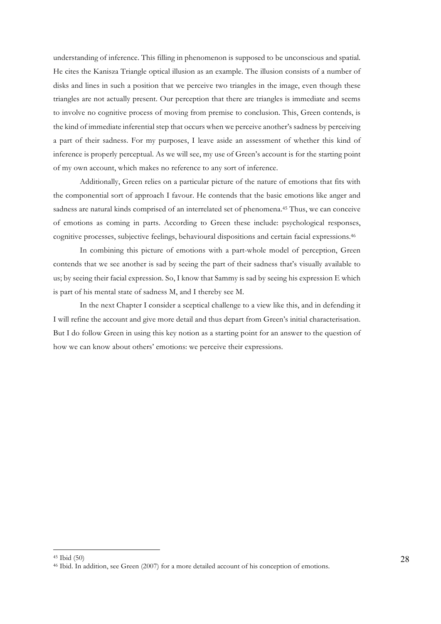understanding of inference. This filling in phenomenon is supposed to be unconscious and spatial. He cites the Kanisza Triangle optical illusion as an example. The illusion consists of a number of disks and lines in such a position that we perceive two triangles in the image, even though these triangles are not actually present. Our perception that there are triangles is immediate and seems to involve no cognitive process of moving from premise to conclusion. This, Green contends, is the kind of immediate inferential step that occurs when we perceive another's sadness by perceiving a part of their sadness. For my purposes, I leave aside an assessment of whether this kind of inference is properly perceptual. As we will see, my use of Green's account is for the starting point of my own account, which makes no reference to any sort of inference.

Additionally, Green relies on a particular picture of the nature of emotions that fits with the componential sort of approach I favour. He contends that the basic emotions like anger and sadness are natural kinds comprised of an interrelated set of phenomena.45 Thus, we can conceive of emotions as coming in parts. According to Green these include: psychological responses, cognitive processes, subjective feelings, behavioural dispositions and certain facial expressions.46

In combining this picture of emotions with a part-whole model of perception, Green contends that we see another is sad by seeing the part of their sadness that's visually available to us; by seeing their facial expression. So, I know that Sammy is sad by seeing his expression E which is part of his mental state of sadness M, and I thereby see M.

In the next Chapter I consider a sceptical challenge to a view like this, and in defending it I will refine the account and give more detail and thus depart from Green's initial characterisation. But I do follow Green in using this key notion as a starting point for an answer to the question of how we can know about others' emotions: we perceive their expressions.

<sup>45</sup> Ibid (50)

<sup>46</sup> Ibid. In addition, see Green (2007) for a more detailed account of his conception of emotions.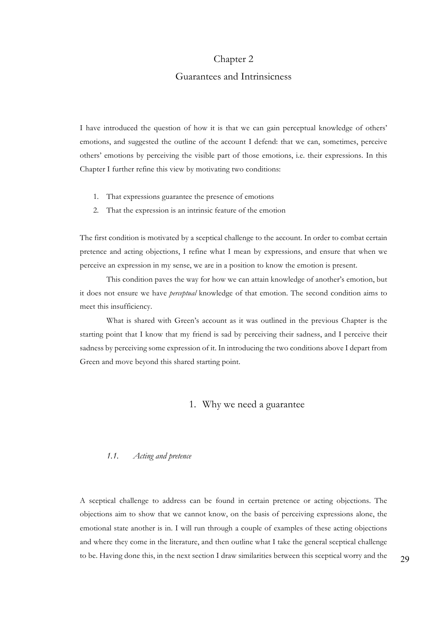## Chapter 2

## Guarantees and Intrinsicness

I have introduced the question of how it is that we can gain perceptual knowledge of others' emotions, and suggested the outline of the account I defend: that we can, sometimes, perceive others' emotions by perceiving the visible part of those emotions, i.e. their expressions. In this Chapter I further refine this view by motivating two conditions:

- 1. That expressions guarantee the presence of emotions
- 2. That the expression is an intrinsic feature of the emotion

The first condition is motivated by a sceptical challenge to the account. In order to combat certain pretence and acting objections, I refine what I mean by expressions, and ensure that when we perceive an expression in my sense, we are in a position to know the emotion is present.

This condition paves the way for how we can attain knowledge of another's emotion, but it does not ensure we have *perceptual* knowledge of that emotion. The second condition aims to meet this insufficiency.

What is shared with Green's account as it was outlined in the previous Chapter is the starting point that I know that my friend is sad by perceiving their sadness, and I perceive their sadness by perceiving some expression of it. In introducing the two conditions above I depart from Green and move beyond this shared starting point.

## 1. Why we need a guarantee

#### *1.1. Acting and pretence*

A sceptical challenge to address can be found in certain pretence or acting objections. The objections aim to show that we cannot know, on the basis of perceiving expressions alone, the emotional state another is in. I will run through a couple of examples of these acting objections and where they come in the literature, and then outline what I take the general sceptical challenge to be. Having done this, in the next section I draw similarities between this sceptical worry and the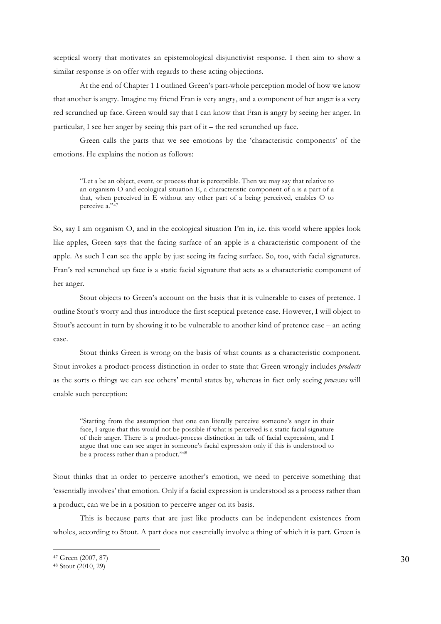sceptical worry that motivates an epistemological disjunctivist response. I then aim to show a similar response is on offer with regards to these acting objections.

At the end of Chapter 1 I outlined Green's part-whole perception model of how we know that another is angry. Imagine my friend Fran is very angry, and a component of her anger is a very red scrunched up face. Green would say that I can know that Fran is angry by seeing her anger. In particular, I see her anger by seeing this part of it – the red scrunched up face.

Green calls the parts that we see emotions by the 'characteristic components' of the emotions. He explains the notion as follows:

"Let a be an object, event, or process that is perceptible. Then we may say that relative to an organism O and ecological situation E, a characteristic component of a is a part of a that, when perceived in E without any other part of a being perceived, enables O to perceive a."47

So, say I am organism O, and in the ecological situation I'm in, i.e. this world where apples look like apples, Green says that the facing surface of an apple is a characteristic component of the apple. As such I can see the apple by just seeing its facing surface. So, too, with facial signatures. Fran's red scrunched up face is a static facial signature that acts as a characteristic component of her anger.

Stout objects to Green's account on the basis that it is vulnerable to cases of pretence. I outline Stout's worry and thus introduce the first sceptical pretence case. However, I will object to Stout's account in turn by showing it to be vulnerable to another kind of pretence case – an acting case.

Stout thinks Green is wrong on the basis of what counts as a characteristic component. Stout invokes a product-process distinction in order to state that Green wrongly includes *products*  as the sorts o things we can see others' mental states by, whereas in fact only seeing *processes* will enable such perception:

"Starting from the assumption that one can literally perceive someone's anger in their face, I argue that this would not be possible if what is perceived is a static facial signature of their anger. There is a product-process distinction in talk of facial expression, and I argue that one can see anger in someone's facial expression only if this is understood to be a process rather than a product."48

Stout thinks that in order to perceive another's emotion, we need to perceive something that 'essentially involves' that emotion. Only if a facial expression is understood as a process rather than a product, can we be in a position to perceive anger on its basis.

This is because parts that are just like products can be independent existences from wholes, according to Stout. A part does not essentially involve a thing of which it is part. Green is

<sup>47</sup> Green (2007, 87)

<sup>48</sup> Stout (2010, 29)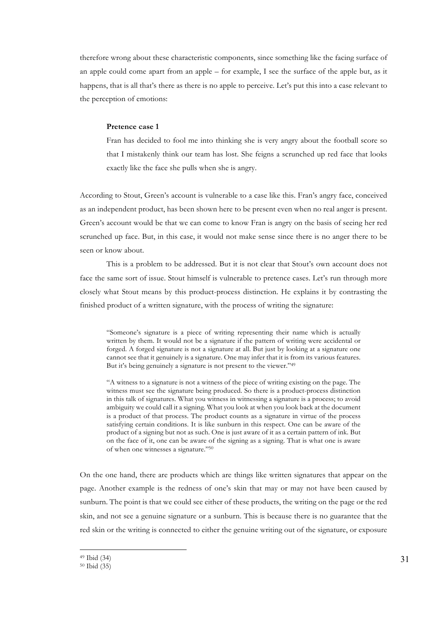therefore wrong about these characteristic components, since something like the facing surface of an apple could come apart from an apple – for example, I see the surface of the apple but, as it happens, that is all that's there as there is no apple to perceive. Let's put this into a case relevant to the perception of emotions:

#### **Pretence case 1**

Fran has decided to fool me into thinking she is very angry about the football score so that I mistakenly think our team has lost. She feigns a scrunched up red face that looks exactly like the face she pulls when she is angry.

According to Stout, Green's account is vulnerable to a case like this. Fran's angry face, conceived as an independent product, has been shown here to be present even when no real anger is present. Green's account would be that we can come to know Fran is angry on the basis of seeing her red scrunched up face. But, in this case, it would not make sense since there is no anger there to be seen or know about.

This is a problem to be addressed. But it is not clear that Stout's own account does not face the same sort of issue. Stout himself is vulnerable to pretence cases. Let's run through more closely what Stout means by this product-process distinction. He explains it by contrasting the finished product of a written signature, with the process of writing the signature:

"Someone's signature is a piece of writing representing their name which is actually written by them. It would not be a signature if the pattern of writing were accidental or forged. A forged signature is not a signature at all. But just by looking at a signature one cannot see that it genuinely is a signature. One may infer that it is from its various features. But it's being genuinely a signature is not present to the viewer."49

"A witness to a signature is not a witness of the piece of writing existing on the page. The witness must see the signature being produced. So there is a product-process distinction in this talk of signatures. What you witness in witnessing a signature is a process; to avoid ambiguity we could call it a signing. What you look at when you look back at the document is a product of that process. The product counts as a signature in virtue of the process satisfying certain conditions. It is like sunburn in this respect. One can be aware of the product of a signing but not as such. One is just aware of it as a certain pattern of ink. But on the face of it, one can be aware of the signing as a signing. That is what one is aware of when one witnesses a signature."50

On the one hand, there are products which are things like written signatures that appear on the page. Another example is the redness of one's skin that may or may not have been caused by sunburn. The point is that we could see either of these products, the writing on the page or the red skin, and not see a genuine signature or a sunburn. This is because there is no guarantee that the red skin or the writing is connected to either the genuine writing out of the signature, or exposure

<sup>49</sup> Ibid (34)

<sup>50</sup> Ibid (35)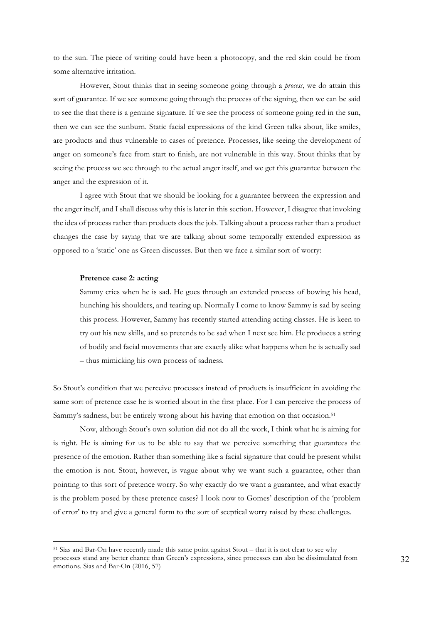to the sun. The piece of writing could have been a photocopy, and the red skin could be from some alternative irritation.

However, Stout thinks that in seeing someone going through a *process*, we do attain this sort of guarantee. If we see someone going through the process of the signing, then we can be said to see the that there is a genuine signature. If we see the process of someone going red in the sun, then we can see the sunburn. Static facial expressions of the kind Green talks about, like smiles, are products and thus vulnerable to cases of pretence. Processes, like seeing the development of anger on someone's face from start to finish, are not vulnerable in this way. Stout thinks that by seeing the process we see through to the actual anger itself, and we get this guarantee between the anger and the expression of it.

I agree with Stout that we should be looking for a guarantee between the expression and the anger itself, and I shall discuss why this is later in this section. However, I disagree that invoking the idea of process rather than products does the job. Talking about a process rather than a product changes the case by saying that we are talking about some temporally extended expression as opposed to a 'static' one as Green discusses. But then we face a similar sort of worry:

#### **Pretence case 2: acting**

 $\overline{a}$ 

Sammy cries when he is sad. He goes through an extended process of bowing his head, hunching his shoulders, and tearing up. Normally I come to know Sammy is sad by seeing this process. However, Sammy has recently started attending acting classes. He is keen to try out his new skills, and so pretends to be sad when I next see him. He produces a string of bodily and facial movements that are exactly alike what happens when he is actually sad – thus mimicking his own process of sadness.

So Stout's condition that we perceive processes instead of products is insufficient in avoiding the same sort of pretence case he is worried about in the first place. For I can perceive the process of Sammy's sadness, but be entirely wrong about his having that emotion on that occasion.<sup>51</sup>

Now, although Stout's own solution did not do all the work, I think what he is aiming for is right. He is aiming for us to be able to say that we perceive something that guarantees the presence of the emotion. Rather than something like a facial signature that could be present whilst the emotion is not. Stout, however, is vague about why we want such a guarantee, other than pointing to this sort of pretence worry. So why exactly do we want a guarantee, and what exactly is the problem posed by these pretence cases? I look now to Gomes' description of the 'problem of error' to try and give a general form to the sort of sceptical worry raised by these challenges.

<sup>51</sup> Sias and Bar-On have recently made this same point against Stout – that it is not clear to see why processes stand any better chance than Green's expressions, since processes can also be dissimulated from emotions. Sias and Bar-On (2016, 57)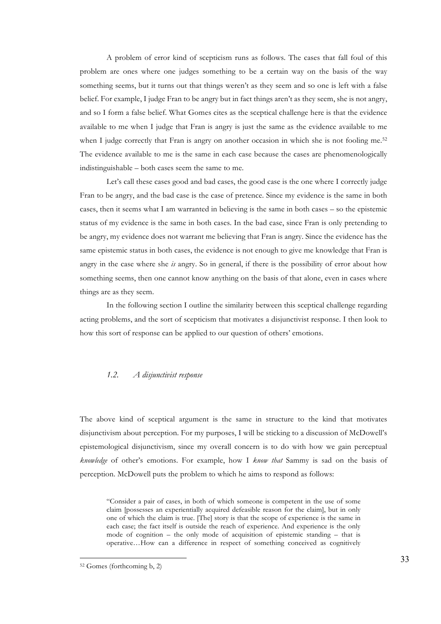A problem of error kind of scepticism runs as follows. The cases that fall foul of this problem are ones where one judges something to be a certain way on the basis of the way something seems, but it turns out that things weren't as they seem and so one is left with a false belief. For example, I judge Fran to be angry but in fact things aren't as they seem, she is not angry, and so I form a false belief. What Gomes cites as the sceptical challenge here is that the evidence available to me when I judge that Fran is angry is just the same as the evidence available to me when I judge correctly that Fran is angry on another occasion in which she is not fooling me.<sup>52</sup> The evidence available to me is the same in each case because the cases are phenomenologically indistinguishable – both cases seem the same to me.

Let's call these cases good and bad cases, the good case is the one where I correctly judge Fran to be angry, and the bad case is the case of pretence. Since my evidence is the same in both cases, then it seems what I am warranted in believing is the same in both cases – so the epistemic status of my evidence is the same in both cases. In the bad case, since Fran is only pretending to be angry, my evidence does not warrant me believing that Fran is angry. Since the evidence has the same epistemic status in both cases, the evidence is not enough to give me knowledge that Fran is angry in the case where she *is* angry. So in general, if there is the possibility of error about how something seems, then one cannot know anything on the basis of that alone, even in cases where things are as they seem.

In the following section I outline the similarity between this sceptical challenge regarding acting problems, and the sort of scepticism that motivates a disjunctivist response. I then look to how this sort of response can be applied to our question of others' emotions.

#### *1.2. A disjunctivist response*

The above kind of sceptical argument is the same in structure to the kind that motivates disjunctivism about perception. For my purposes, I will be sticking to a discussion of McDowell's epistemological disjunctivism, since my overall concern is to do with how we gain perceptual *knowledge* of other's emotions. For example, how I *know that* Sammy is sad on the basis of perception. McDowell puts the problem to which he aims to respond as follows:

"Consider a pair of cases, in both of which someone is competent in the use of some claim [possesses an experientially acquired defeasible reason for the claim], but in only one of which the claim is true. [The] story is that the scope of experience is the same in each case; the fact itself is outside the reach of experience. And experience is the only mode of cognition – the only mode of acquisition of epistemic standing – that is operative…How can a difference in respect of something conceived as cognitively

<sup>52</sup> Gomes (forthcoming b, 2)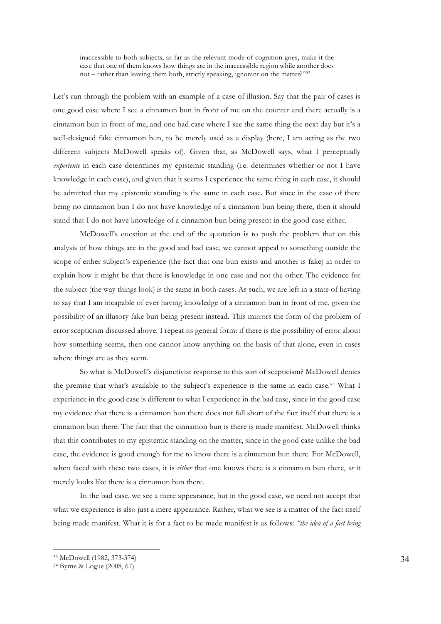inaccessible to both subjects, as far as the relevant mode of cognition goes, make it the case that one of them knows how things are in the inaccessible region while another does not – rather than leaving them both, strictly speaking, ignorant on the matter?"53

Let's run through the problem with an example of a case of illusion. Say that the pair of cases is one good case where I see a cinnamon bun in front of me on the counter and there actually is a cinnamon bun in front of me, and one bad case where I see the same thing the next day but it's a well-designed fake cinnamon bun, to be merely used as a display (here, I am acting as the two different subjects McDowell speaks of). Given that, as McDowell says, what I perceptually *experience* in each case determines my epistemic standing (i.e. determines whether or not I have knowledge in each case), and given that it seems I experience the same thing in each case, it should be admitted that my epistemic standing is the same in each case. But since in the case of there being no cinnamon bun I do not have knowledge of a cinnamon bun being there, then it should stand that I do not have knowledge of a cinnamon bun being present in the good case either.

McDowell's question at the end of the quotation is to push the problem that on this analysis of how things are in the good and bad case, we cannot appeal to something outside the scope of either subject's experience (the fact that one bun exists and another is fake) in order to explain how it might be that there is knowledge in one case and not the other. The evidence for the subject (the way things look) is the same in both cases. As such, we are left in a state of having to say that I am incapable of ever having knowledge of a cinnamon bun in front of me, given the possibility of an illusory fake bun being present instead. This mirrors the form of the problem of error scepticism discussed above. I repeat its general form: if there is the possibility of error about how something seems, then one cannot know anything on the basis of that alone, even in cases where things are as they seem.

So what is McDowell's disjunctivist response to this sort of scepticism? McDowell denies the premise that what's available to the subject's experience is the same in each case.54 What I experience in the good case is different to what I experience in the bad case, since in the good case my evidence that there is a cinnamon bun there does not fall short of the fact itself that there is a cinnamon bun there. The fact that the cinnamon bun is there is made manifest. McDowell thinks that this contributes to my epistemic standing on the matter, since in the good case unlike the bad case, the evidence is good enough for me to know there is a cinnamon bun there. For McDowell, when faced with these two cases, it is *either* that one knows there is a cinnamon bun there, *or* it merely looks like there is a cinnamon bun there.

In the bad case, we see a mere appearance, but in the good case, we need not accept that what we experience is also just a mere appearance. Rather, what we see is a matter of the fact itself being made manifest. What it is for a fact to be made manifest is as follows: *"the idea of a fact being* 

<sup>53</sup> McDowell (1982, 373-374)

<sup>54</sup> Byrne & Logue (2008, 67)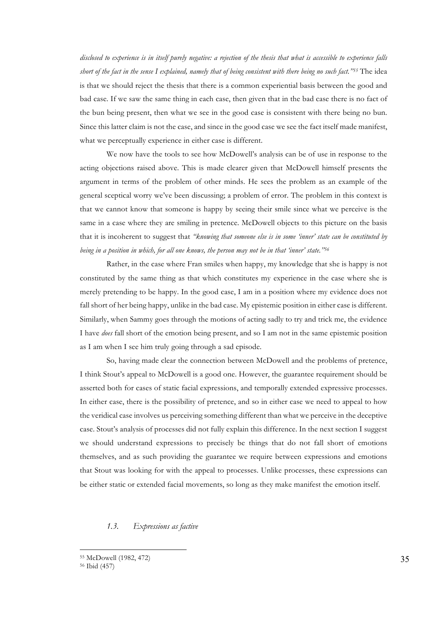*disclosed to experience is in itself purely negative: a rejection of the thesis that what is accessible to experience falls short of the fact in the sense I explained, namely that of being consistent with there being no such fact."55* The idea is that we should reject the thesis that there is a common experiential basis between the good and bad case. If we saw the same thing in each case, then given that in the bad case there is no fact of the bun being present, then what we see in the good case is consistent with there being no bun. Since this latter claim is not the case, and since in the good case we see the fact itself made manifest, what we perceptually experience in either case is different.

We now have the tools to see how McDowell's analysis can be of use in response to the acting objections raised above. This is made clearer given that McDowell himself presents the argument in terms of the problem of other minds. He sees the problem as an example of the general sceptical worry we've been discussing; a problem of error. The problem in this context is that we cannot know that someone is happy by seeing their smile since what we perceive is the same in a case where they are smiling in pretence. McDowell objects to this picture on the basis that it is incoherent to suggest that *"knowing that someone else is in some 'inner' state can be constituted by being in a position in which, for all one knows, the person may not be in that 'inner' state."56*

Rather, in the case where Fran smiles when happy, my knowledge that she is happy is not constituted by the same thing as that which constitutes my experience in the case where she is merely pretending to be happy. In the good case, I am in a position where my evidence does not fall short of her being happy, unlike in the bad case. My epistemic position in either case is different. Similarly, when Sammy goes through the motions of acting sadly to try and trick me, the evidence I have *does* fall short of the emotion being present, and so I am not in the same epistemic position as I am when I see him truly going through a sad episode.

So, having made clear the connection between McDowell and the problems of pretence, I think Stout's appeal to McDowell is a good one. However, the guarantee requirement should be asserted both for cases of static facial expressions, and temporally extended expressive processes. In either case, there is the possibility of pretence, and so in either case we need to appeal to how the veridical case involves us perceiving something different than what we perceive in the deceptive case. Stout's analysis of processes did not fully explain this difference. In the next section I suggest we should understand expressions to precisely be things that do not fall short of emotions themselves, and as such providing the guarantee we require between expressions and emotions that Stout was looking for with the appeal to processes. Unlike processes, these expressions can be either static or extended facial movements, so long as they make manifest the emotion itself.

#### *1.3. Expressions as factive*

<sup>55</sup> McDowell (1982, 472) 56 Ibid (457)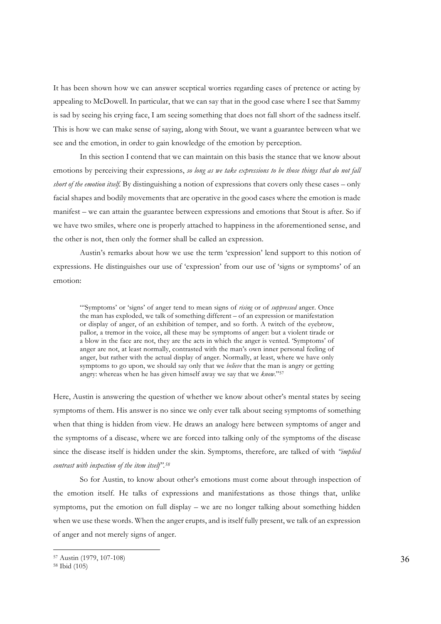It has been shown how we can answer sceptical worries regarding cases of pretence or acting by appealing to McDowell. In particular, that we can say that in the good case where I see that Sammy is sad by seeing his crying face, I am seeing something that does not fall short of the sadness itself. This is how we can make sense of saying, along with Stout, we want a guarantee between what we see and the emotion, in order to gain knowledge of the emotion by perception.

In this section I contend that we can maintain on this basis the stance that we know about emotions by perceiving their expressions, *so long as we take expressions to be those things that do not fall short of the emotion itself.* By distinguishing a notion of expressions that covers only these cases – only facial shapes and bodily movements that are operative in the good cases where the emotion is made manifest – we can attain the guarantee between expressions and emotions that Stout is after. So if we have two smiles, where one is properly attached to happiness in the aforementioned sense, and the other is not, then only the former shall be called an expression.

Austin's remarks about how we use the term 'expression' lend support to this notion of expressions. He distinguishes our use of 'expression' from our use of 'signs or symptoms' of an emotion:

"'Symptoms' or 'signs' of anger tend to mean signs of *rising* or of *suppressed* anger. Once the man has exploded, we talk of something different – of an expression or manifestation or display of anger, of an exhibition of temper, and so forth. A twitch of the eyebrow, pallor, a tremor in the voice, all these may be symptoms of anger: but a violent tirade or a blow in the face are not, they are the acts in which the anger is vented. 'Symptoms' of anger are not, at least normally, contrasted with the man's own inner personal feeling of anger, but rather with the actual display of anger. Normally, at least, where we have only symptoms to go upon, we should say only that we *believe* that the man is angry or getting angry: whereas when he has given himself away we say that we *know*."57

Here, Austin is answering the question of whether we know about other's mental states by seeing symptoms of them. His answer is no since we only ever talk about seeing symptoms of something when that thing is hidden from view. He draws an analogy here between symptoms of anger and the symptoms of a disease, where we are forced into talking only of the symptoms of the disease since the disease itself is hidden under the skin. Symptoms, therefore, are talked of with *"implied contrast with inspection of the item itself".58*

So for Austin, to know about other's emotions must come about through inspection of the emotion itself. He talks of expressions and manifestations as those things that, unlike symptoms, put the emotion on full display – we are no longer talking about something hidden when we use these words. When the anger erupts, and is itself fully present, we talk of an expression of anger and not merely signs of anger.

<sup>57</sup> Austin (1979, 107-108)

<sup>58</sup> Ibid (105)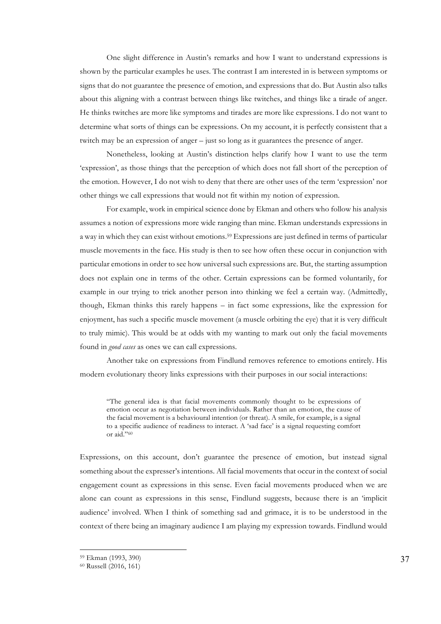One slight difference in Austin's remarks and how I want to understand expressions is shown by the particular examples he uses. The contrast I am interested in is between symptoms or signs that do not guarantee the presence of emotion, and expressions that do. But Austin also talks about this aligning with a contrast between things like twitches, and things like a tirade of anger. He thinks twitches are more like symptoms and tirades are more like expressions. I do not want to determine what sorts of things can be expressions. On my account, it is perfectly consistent that a twitch may be an expression of anger – just so long as it guarantees the presence of anger.

Nonetheless, looking at Austin's distinction helps clarify how I want to use the term 'expression', as those things that the perception of which does not fall short of the perception of the emotion. However, I do not wish to deny that there are other uses of the term 'expression' nor other things we call expressions that would not fit within my notion of expression.

For example, work in empirical science done by Ekman and others who follow his analysis assumes a notion of expressions more wide ranging than mine. Ekman understands expressions in a way in which they can exist without emotions.59 Expressions are just defined in terms of particular muscle movements in the face. His study is then to see how often these occur in conjunction with particular emotions in order to see how universal such expressions are. But, the starting assumption does not explain one in terms of the other. Certain expressions can be formed voluntarily, for example in our trying to trick another person into thinking we feel a certain way. (Admittedly, though, Ekman thinks this rarely happens – in fact some expressions, like the expression for enjoyment, has such a specific muscle movement (a muscle orbiting the eye) that it is very difficult to truly mimic). This would be at odds with my wanting to mark out only the facial movements found in *good cases* as ones we can call expressions.

Another take on expressions from Findlund removes reference to emotions entirely. His modern evolutionary theory links expressions with their purposes in our social interactions:

"The general idea is that facial movements commonly thought to be expressions of emotion occur as negotiation between individuals. Rather than an emotion, the cause of the facial movement is a behavioural intention (or threat). A smile, for example, is a signal to a specific audience of readiness to interact. A 'sad face' is a signal requesting comfort or aid."60

Expressions, on this account, don't guarantee the presence of emotion, but instead signal something about the expresser's intentions. All facial movements that occur in the context of social engagement count as expressions in this sense. Even facial movements produced when we are alone can count as expressions in this sense, Findlund suggests, because there is an 'implicit audience' involved. When I think of something sad and grimace, it is to be understood in the context of there being an imaginary audience I am playing my expression towards. Findlund would

<sup>59</sup> Ekman (1993, 390) 60 Russell (2016, 161)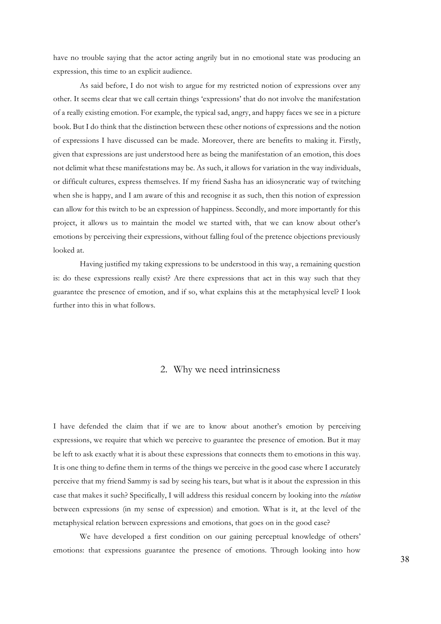have no trouble saying that the actor acting angrily but in no emotional state was producing an expression, this time to an explicit audience.

As said before, I do not wish to argue for my restricted notion of expressions over any other. It seems clear that we call certain things 'expressions' that do not involve the manifestation of a really existing emotion. For example, the typical sad, angry, and happy faces we see in a picture book. But I do think that the distinction between these other notions of expressions and the notion of expressions I have discussed can be made. Moreover, there are benefits to making it. Firstly, given that expressions are just understood here as being the manifestation of an emotion, this does not delimit what these manifestations may be. As such, it allows for variation in the way individuals, or difficult cultures, express themselves. If my friend Sasha has an idiosyncratic way of twitching when she is happy, and I am aware of this and recognise it as such, then this notion of expression can allow for this twitch to be an expression of happiness. Secondly, and more importantly for this project, it allows us to maintain the model we started with, that we can know about other's emotions by perceiving their expressions, without falling foul of the pretence objections previously looked at.

Having justified my taking expressions to be understood in this way, a remaining question is: do these expressions really exist? Are there expressions that act in this way such that they guarantee the presence of emotion, and if so, what explains this at the metaphysical level? I look further into this in what follows.

## 2. Why we need intrinsicness

I have defended the claim that if we are to know about another's emotion by perceiving expressions, we require that which we perceive to guarantee the presence of emotion. But it may be left to ask exactly what it is about these expressions that connects them to emotions in this way. It is one thing to define them in terms of the things we perceive in the good case where I accurately perceive that my friend Sammy is sad by seeing his tears, but what is it about the expression in this case that makes it such? Specifically, I will address this residual concern by looking into the *relation* between expressions (in my sense of expression) and emotion. What is it, at the level of the metaphysical relation between expressions and emotions, that goes on in the good case?

We have developed a first condition on our gaining perceptual knowledge of others' emotions: that expressions guarantee the presence of emotions. Through looking into how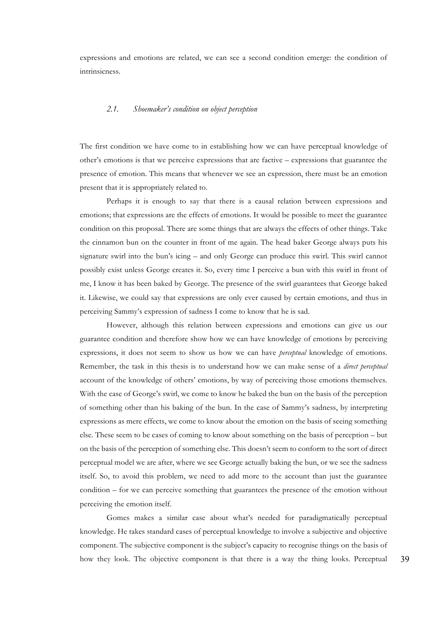expressions and emotions are related, we can see a second condition emerge: the condition of intrinsicness.

#### *2.1. Shoemaker's condition on object perception*

The first condition we have come to in establishing how we can have perceptual knowledge of other's emotions is that we perceive expressions that are factive – expressions that guarantee the presence of emotion. This means that whenever we see an expression, there must be an emotion present that it is appropriately related to.

Perhaps it is enough to say that there is a causal relation between expressions and emotions; that expressions are the effects of emotions. It would be possible to meet the guarantee condition on this proposal. There are some things that are always the effects of other things. Take the cinnamon bun on the counter in front of me again. The head baker George always puts his signature swirl into the bun's icing – and only George can produce this swirl. This swirl cannot possibly exist unless George creates it. So, every time I perceive a bun with this swirl in front of me, I know it has been baked by George. The presence of the swirl guarantees that George baked it. Likewise, we could say that expressions are only ever caused by certain emotions, and thus in perceiving Sammy's expression of sadness I come to know that he is sad.

However, although this relation between expressions and emotions can give us our guarantee condition and therefore show how we can have knowledge of emotions by perceiving expressions, it does not seem to show us how we can have *perceptual* knowledge of emotions. Remember, the task in this thesis is to understand how we can make sense of a *direct perceptual*  account of the knowledge of others' emotions, by way of perceiving those emotions themselves. With the case of George's swirl, we come to know he baked the bun on the basis of the perception of something other than his baking of the bun. In the case of Sammy's sadness, by interpreting expressions as mere effects, we come to know about the emotion on the basis of seeing something else. These seem to be cases of coming to know about something on the basis of perception – but on the basis of the perception of something else. This doesn't seem to conform to the sort of direct perceptual model we are after, where we see George actually baking the bun, or we see the sadness itself. So, to avoid this problem, we need to add more to the account than just the guarantee condition – for we can perceive something that guarantees the presence of the emotion without perceiving the emotion itself.

Gomes makes a similar case about what's needed for paradigmatically perceptual knowledge. He takes standard cases of perceptual knowledge to involve a subjective and objective component. The subjective component is the subject's capacity to recognise things on the basis of how they look. The objective component is that there is a way the thing looks. Perceptual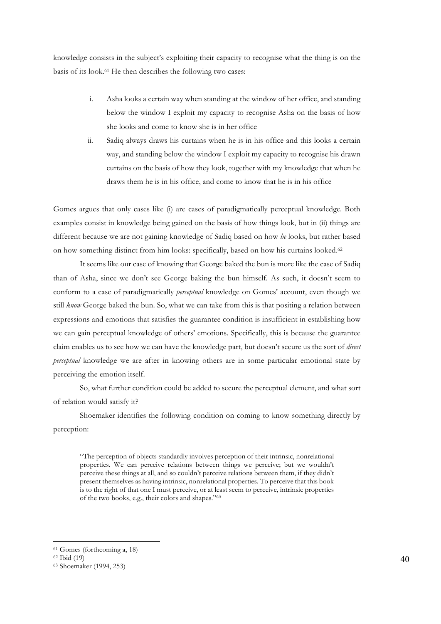knowledge consists in the subject's exploiting their capacity to recognise what the thing is on the basis of its look.61 He then describes the following two cases:

- i. Asha looks a certain way when standing at the window of her office, and standing below the window I exploit my capacity to recognise Asha on the basis of how she looks and come to know she is in her office
- ii. Sadiq always draws his curtains when he is in his office and this looks a certain way, and standing below the window I exploit my capacity to recognise his drawn curtains on the basis of how they look, together with my knowledge that when he draws them he is in his office, and come to know that he is in his office

Gomes argues that only cases like (i) are cases of paradigmatically perceptual knowledge. Both examples consist in knowledge being gained on the basis of how things look, but in (ii) things are different because we are not gaining knowledge of Sadiq based on how *he* looks, but rather based on how something distinct from him looks: specifically, based on how his curtains looked.62

It seems like our case of knowing that George baked the bun is more like the case of Sadiq than of Asha, since we don't see George baking the bun himself. As such, it doesn't seem to conform to a case of paradigmatically *perceptual* knowledge on Gomes' account, even though we still *know* George baked the bun. So, what we can take from this is that positing a relation between expressions and emotions that satisfies the guarantee condition is insufficient in establishing how we can gain perceptual knowledge of others' emotions. Specifically, this is because the guarantee claim enables us to see how we can have the knowledge part, but doesn't secure us the sort of *direct perceptual* knowledge we are after in knowing others are in some particular emotional state by perceiving the emotion itself.

So, what further condition could be added to secure the perceptual element, and what sort of relation would satisfy it?

Shoemaker identifies the following condition on coming to know something directly by perception:

"The perception of objects standardly involves perception of their intrinsic, nonrelational properties. We can perceive relations between things we perceive; but we wouldn't perceive these things at all, and so couldn't perceive relations between them, if they didn't present themselves as having intrinsic, nonrelational properties. To perceive that this book is to the right of that one I must perceive, or at least seem to perceive, intrinsic properties of the two books, e.g., their colors and shapes."63

<sup>61</sup> Gomes (forthcoming a, 18)

<sup>62</sup> Ibid (19)

<sup>63</sup> Shoemaker (1994, 253)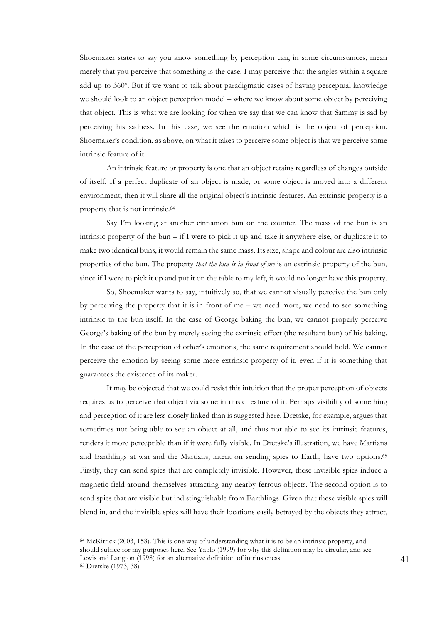Shoemaker states to say you know something by perception can, in some circumstances, mean merely that you perceive that something is the case. I may perceive that the angles within a square add up to 360º. But if we want to talk about paradigmatic cases of having perceptual knowledge we should look to an object perception model – where we know about some object by perceiving that object. This is what we are looking for when we say that we can know that Sammy is sad by perceiving his sadness. In this case, we see the emotion which is the object of perception. Shoemaker's condition, as above, on what it takes to perceive some object is that we perceive some intrinsic feature of it.

An intrinsic feature or property is one that an object retains regardless of changes outside of itself. If a perfect duplicate of an object is made, or some object is moved into a different environment, then it will share all the original object's intrinsic features. An extrinsic property is a property that is not intrinsic.64

Say I'm looking at another cinnamon bun on the counter. The mass of the bun is an intrinsic property of the bun – if I were to pick it up and take it anywhere else, or duplicate it to make two identical buns, it would remain the same mass. Its size, shape and colour are also intrinsic properties of the bun. The property *that the bun is in front of me* is an extrinsic property of the bun, since if I were to pick it up and put it on the table to my left, it would no longer have this property.

So, Shoemaker wants to say, intuitively so, that we cannot visually perceive the bun only by perceiving the property that it is in front of me – we need more, we need to see something intrinsic to the bun itself. In the case of George baking the bun, we cannot properly perceive George's baking of the bun by merely seeing the extrinsic effect (the resultant bun) of his baking. In the case of the perception of other's emotions, the same requirement should hold. We cannot perceive the emotion by seeing some mere extrinsic property of it, even if it is something that guarantees the existence of its maker.

It may be objected that we could resist this intuition that the proper perception of objects requires us to perceive that object via some intrinsic feature of it. Perhaps visibility of something and perception of it are less closely linked than is suggested here. Dretske, for example, argues that sometimes not being able to see an object at all, and thus not able to see its intrinsic features, renders it more perceptible than if it were fully visible. In Dretske's illustration, we have Martians and Earthlings at war and the Martians, intent on sending spies to Earth, have two options.65 Firstly, they can send spies that are completely invisible. However, these invisible spies induce a magnetic field around themselves attracting any nearby ferrous objects. The second option is to send spies that are visible but indistinguishable from Earthlings. Given that these visible spies will blend in, and the invisible spies will have their locations easily betrayed by the objects they attract,

<sup>64</sup> McKitrick (2003, 158). This is one way of understanding what it is to be an intrinsic property, and should suffice for my purposes here. See Yablo (1999) for why this definition may be circular, and see Lewis and Langton (1998) for an alternative definition of intrinsicness.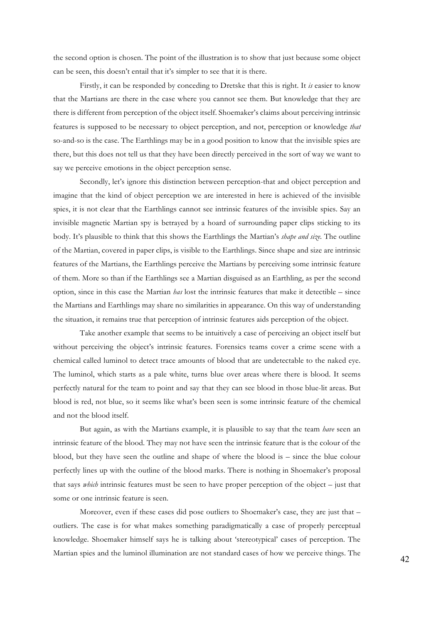the second option is chosen. The point of the illustration is to show that just because some object can be seen, this doesn't entail that it's simpler to see that it is there.

Firstly, it can be responded by conceding to Dretske that this is right. It *is* easier to know that the Martians are there in the case where you cannot see them. But knowledge that they are there is different from perception of the object itself. Shoemaker's claims about perceiving intrinsic features is supposed to be necessary to object perception, and not, perception or knowledge *that*  so-and-so is the case. The Earthlings may be in a good position to know that the invisible spies are there, but this does not tell us that they have been directly perceived in the sort of way we want to say we perceive emotions in the object perception sense.

Secondly, let's ignore this distinction between perception-that and object perception and imagine that the kind of object perception we are interested in here is achieved of the invisible spies, it is not clear that the Earthlings cannot see intrinsic features of the invisible spies. Say an invisible magnetic Martian spy is betrayed by a hoard of surrounding paper clips sticking to its body. It's plausible to think that this shows the Earthlings the Martian's *shape and size.* The outline of the Martian, covered in paper clips, is visible to the Earthlings. Since shape and size are intrinsic features of the Martians, the Earthlings perceive the Martians by perceiving some intrinsic feature of them. More so than if the Earthlings see a Martian disguised as an Earthling, as per the second option, since in this case the Martian *has* lost the intrinsic features that make it detectible – since the Martians and Earthlings may share no similarities in appearance. On this way of understanding the situation, it remains true that perception of intrinsic features aids perception of the object.

Take another example that seems to be intuitively a case of perceiving an object itself but without perceiving the object's intrinsic features. Forensics teams cover a crime scene with a chemical called luminol to detect trace amounts of blood that are undetectable to the naked eye. The luminol, which starts as a pale white, turns blue over areas where there is blood. It seems perfectly natural for the team to point and say that they can see blood in those blue-lit areas. But blood is red, not blue, so it seems like what's been seen is some intrinsic feature of the chemical and not the blood itself.

But again, as with the Martians example, it is plausible to say that the team *have* seen an intrinsic feature of the blood. They may not have seen the intrinsic feature that is the colour of the blood, but they have seen the outline and shape of where the blood is – since the blue colour perfectly lines up with the outline of the blood marks. There is nothing in Shoemaker's proposal that says *which* intrinsic features must be seen to have proper perception of the object – just that some or one intrinsic feature is seen.

Moreover, even if these cases did pose outliers to Shoemaker's case, they are just that – outliers. The case is for what makes something paradigmatically a case of properly perceptual knowledge. Shoemaker himself says he is talking about 'stereotypical' cases of perception. The Martian spies and the luminol illumination are not standard cases of how we perceive things. The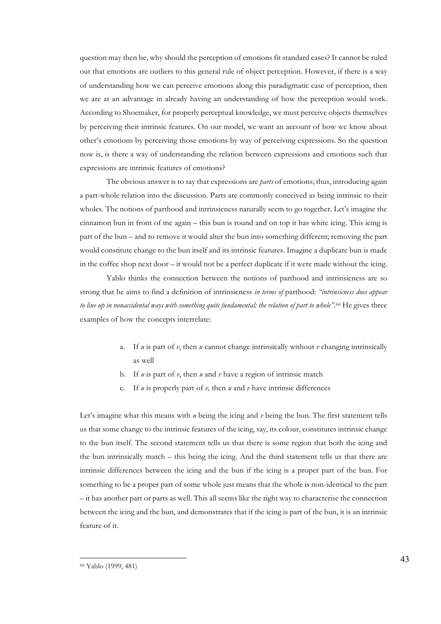question may then be, why should the perception of emotions fit standard cases? It cannot be ruled out that emotions are outliers to this general rule of object perception. However, if there is a way of understanding how we can perceive emotions along this paradigmatic case of perception, then we are at an advantage in already having an understanding of how the perception would work. According to Shoemaker, for properly perceptual knowledge, we must perceive objects themselves by perceiving their intrinsic features. On our model, we want an account of how we know about other's emotions by perceiving those emotions by way of perceiving expressions. So the question now is, is there a way of understanding the relation between expressions and emotions such that expressions are intrinsic features of emotions?

The obvious answer is to say that expressions are *parts* of emotions; thus, introducing again a part-whole relation into the discussion. Parts are commonly conceived as being intrinsic to their wholes. The notions of parthood and intrinsicness naturally seem to go together. Let's imagine the cinnamon bun in front of me again – this bun is round and on top it has white icing. This icing is part of the bun – and to remove it would alter the bun into something different; removing the part would constitute change to the bun itself and its intrinsic features. Imagine a duplicate bun is made in the coffee shop next door – it would not be a perfect duplicate if it were made without the icing.

Yablo thinks the connection between the notions of parthood and intrinsicness are so strong that he aims to find a definition of intrinsicness *in terms of* parthood: *"intrinsicness does appear to line up in nonaccidental ways with something quite fundamental: the relation of part to whole". <sup>66</sup>* He gives three examples of how the concepts interrelate:

- a. If  $u$  is part of  $v$ , then  $u$  cannot change intrinsically without  $v$  changing intrinsically as well
- b. If *u* is part of *v*, then *u* and *v* have a region of intrinsic match
- c. If *u* is properly part of *v,* then *u* and *v* have intrinsic differences

Let's imagine what this means with *u* being the icing and *v* being the bun. The first statement tells us that some change to the intrinsic features of the icing, say, its colour, constitutes intrinsic change to the bun itself. The second statement tells us that there is some region that both the icing and the bun intrinsically match – this being the icing. And the third statement tells us that there are intrinsic differences between the icing and the bun if the icing is a proper part of the bun. For something to be a proper part of some whole just means that the whole is non-identical to the part – it has another part or parts as well. This all seems like the right way to characterise the connection between the icing and the bun, and demonstrates that if the icing is part of the bun, it is an intrinsic feature of it.

<sup>66</sup> Yablo (1999, 481)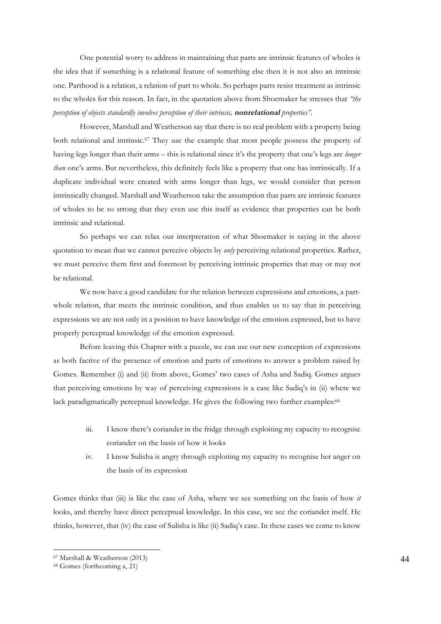One potential worry to address in maintaining that parts are intrinsic features of wholes is the idea that if something is a relational feature of something else then it is not also an intrinsic one. Parthood is a relation, a relation of part to whole. So perhaps parts resist treatment as intrinsic to the wholes for this reason. In fact, in the quotation above from Shoemaker he stresses that *"the perception of objects standardly involves perception of their intrinsic,* **nonrelational** *properties".* 

However, Marshall and Weatherson say that there is no real problem with a property being both relational and intrinsic.67 They use the example that most people possess the property of having legs longer than their arms – this is relational since it's the property that one's legs are *longer than* one's arms. But nevertheless, this definitely feels like a property that one has intrinsically. If a duplicate individual were created with arms longer than legs, we would consider that person intrinsically changed. Marshall and Weatherson take the assumption that parts are intrinsic features of wholes to be so strong that they even use this itself as evidence that properties can be both intrinsic and relational.

So perhaps we can relax our interpretation of what Shoemaker is saying in the above quotation to mean that we cannot perceive objects by *only* perceiving relational properties. Rather, we must perceive them first and foremost by perceiving intrinsic properties that may or may not be relational.

We now have a good candidate for the relation between expressions and emotions, a partwhole relation, that meets the intrinsic condition, and thus enables us to say that in perceiving expressions we are not only in a position to have knowledge of the emotion expressed, but to have properly perceptual knowledge of the emotion expressed.

Before leaving this Chapter with a puzzle, we can use our new conception of expressions as both factive of the presence of emotion and parts of emotions to answer a problem raised by Gomes. Remember (i) and (ii) from above, Gomes' two cases of Asha and Sadiq. Gomes argues that perceiving emotions by way of perceiving expressions is a case like Sadiq's in (ii) where we lack paradigmatically perceptual knowledge. He gives the following two further examples:<sup>68</sup>

- iii. I know there's coriander in the fridge through exploiting my capacity to recognise coriander on the basis of how it looks
- iv. I know Sulisha is angry through exploiting my capacity to recognise her anger on the basis of its expression

Gomes thinks that (iii) is like the case of Asha, where we see something on the basis of how *it*  looks, and thereby have direct perceptual knowledge. In this case, we see the coriander itself. He thinks, however, that (iv) the case of Sulisha is like (ii) Sadiq's case. In these cases we come to know

<sup>67</sup> Marshall & Weatherson (2013)

<sup>68</sup> Gomes (forthcoming a, 21)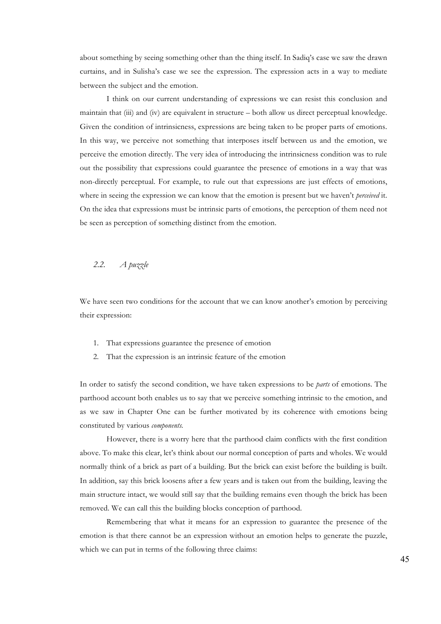about something by seeing something other than the thing itself. In Sadiq's case we saw the drawn curtains, and in Sulisha's case we see the expression. The expression acts in a way to mediate between the subject and the emotion.

I think on our current understanding of expressions we can resist this conclusion and maintain that (iii) and (iv) are equivalent in structure – both allow us direct perceptual knowledge. Given the condition of intrinsicness, expressions are being taken to be proper parts of emotions. In this way, we perceive not something that interposes itself between us and the emotion, we perceive the emotion directly. The very idea of introducing the intrinsicness condition was to rule out the possibility that expressions could guarantee the presence of emotions in a way that was non-directly perceptual. For example, to rule out that expressions are just effects of emotions, where in seeing the expression we can know that the emotion is present but we haven't *perceived* it. On the idea that expressions must be intrinsic parts of emotions, the perception of them need not be seen as perception of something distinct from the emotion.

## *2.2. A puzzle*

We have seen two conditions for the account that we can know another's emotion by perceiving their expression:

- 1. That expressions guarantee the presence of emotion
- 2. That the expression is an intrinsic feature of the emotion

In order to satisfy the second condition, we have taken expressions to be *parts* of emotions. The parthood account both enables us to say that we perceive something intrinsic to the emotion, and as we saw in Chapter One can be further motivated by its coherence with emotions being constituted by various *components.*

However, there is a worry here that the parthood claim conflicts with the first condition above. To make this clear, let's think about our normal conception of parts and wholes. We would normally think of a brick as part of a building. But the brick can exist before the building is built. In addition, say this brick loosens after a few years and is taken out from the building, leaving the main structure intact, we would still say that the building remains even though the brick has been removed. We can call this the building blocks conception of parthood.

Remembering that what it means for an expression to guarantee the presence of the emotion is that there cannot be an expression without an emotion helps to generate the puzzle, which we can put in terms of the following three claims: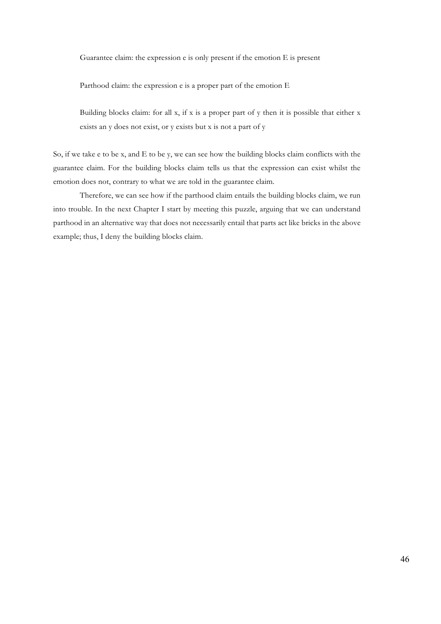Guarantee claim: the expression e is only present if the emotion E is present

Parthood claim: the expression e is a proper part of the emotion E

Building blocks claim: for all x, if x is a proper part of y then it is possible that either x exists an y does not exist, or y exists but x is not a part of y

So, if we take e to be x, and E to be y, we can see how the building blocks claim conflicts with the guarantee claim. For the building blocks claim tells us that the expression can exist whilst the emotion does not, contrary to what we are told in the guarantee claim.

Therefore, we can see how if the parthood claim entails the building blocks claim, we run into trouble. In the next Chapter I start by meeting this puzzle, arguing that we can understand parthood in an alternative way that does not necessarily entail that parts act like bricks in the above example; thus, I deny the building blocks claim.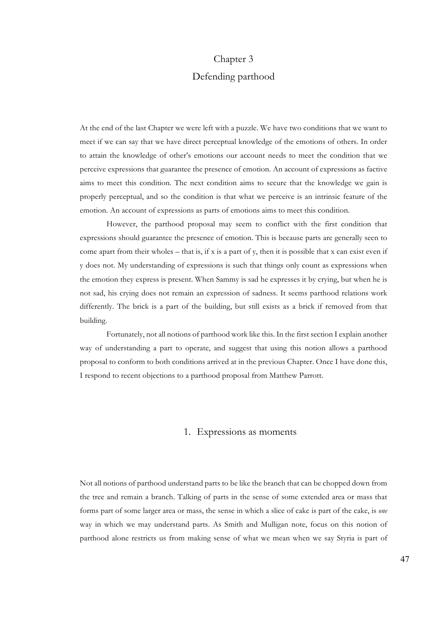# Chapter 3 Defending parthood

At the end of the last Chapter we were left with a puzzle. We have two conditions that we want to meet if we can say that we have direct perceptual knowledge of the emotions of others. In order to attain the knowledge of other's emotions our account needs to meet the condition that we perceive expressions that guarantee the presence of emotion. An account of expressions as factive aims to meet this condition. The next condition aims to secure that the knowledge we gain is properly perceptual, and so the condition is that what we perceive is an intrinsic feature of the emotion. An account of expressions as parts of emotions aims to meet this condition.

However, the parthood proposal may seem to conflict with the first condition that expressions should guarantee the presence of emotion. This is because parts are generally seen to come apart from their wholes – that is, if x is a part of y, then it is possible that x can exist even if y does not. My understanding of expressions is such that things only count as expressions when the emotion they express is present. When Sammy is sad he expresses it by crying, but when he is not sad, his crying does not remain an expression of sadness. It seems parthood relations work differently. The brick is a part of the building, but still exists as a brick if removed from that building.

Fortunately, not all notions of parthood work like this. In the first section I explain another way of understanding a part to operate, and suggest that using this notion allows a parthood proposal to conform to both conditions arrived at in the previous Chapter. Once I have done this, I respond to recent objections to a parthood proposal from Matthew Parrott.

#### 1. Expressions as moments

Not all notions of parthood understand parts to be like the branch that can be chopped down from the tree and remain a branch. Talking of parts in the sense of some extended area or mass that forms part of some larger area or mass, the sense in which a slice of cake is part of the cake, is *one*  way in which we may understand parts. As Smith and Mulligan note, focus on this notion of parthood alone restricts us from making sense of what we mean when we say Styria is part of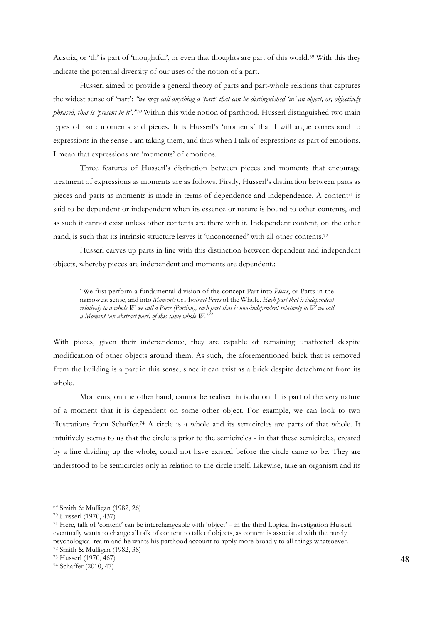Austria, or 'th' is part of 'thoughtful', or even that thoughts are part of this world.<sup>69</sup> With this they indicate the potential diversity of our uses of the notion of a part.

Husserl aimed to provide a general theory of parts and part-whole relations that captures the widest sense of 'part': *"we may call anything a 'part' that can be distinguished 'in' an object, or, objectively phrased, that is 'present in it'."70* Within this wide notion of parthood, Husserl distinguished two main types of part: moments and pieces. It is Husserl's 'moments' that I will argue correspond to expressions in the sense I am taking them, and thus when I talk of expressions as part of emotions, I mean that expressions are 'moments' of emotions.

Three features of Husserl's distinction between pieces and moments that encourage treatment of expressions as moments are as follows. Firstly, Husserl's distinction between parts as pieces and parts as moments is made in terms of dependence and independence. A content<sup>71</sup> is said to be dependent or independent when its essence or nature is bound to other contents, and as such it cannot exist unless other contents are there with it. Independent content, on the other hand, is such that its intrinsic structure leaves it 'unconcerned' with all other contents.<sup>72</sup>

Husserl carves up parts in line with this distinction between dependent and independent objects, whereby pieces are independent and moments are dependent.:

"We first perform a fundamental division of the concept Part into *Pieces*, or Parts in the narrowest sense, and into *Moments* or *Abstract Parts* of the Whole. *Each part that is independent relatively to a whole W we call a Piece (Portion), each part that is non-independent relatively to W we call a Moment (an abstract part) of this same whole W."<sup>73</sup>*

With pieces, given their independence, they are capable of remaining unaffected despite modification of other objects around them. As such, the aforementioned brick that is removed from the building is a part in this sense, since it can exist as a brick despite detachment from its whole.

Moments, on the other hand, cannot be realised in isolation. It is part of the very nature of a moment that it is dependent on some other object. For example, we can look to two illustrations from Schaffer.74 A circle is a whole and its semicircles are parts of that whole. It intuitively seems to us that the circle is prior to the semicircles - in that these semicircles, created by a line dividing up the whole, could not have existed before the circle came to be. They are understood to be semicircles only in relation to the circle itself. Likewise, take an organism and its

<sup>69</sup> Smith & Mulligan (1982, 26)

<sup>70</sup> Husserl (1970, 437)

<sup>71</sup> Here, talk of 'content' can be interchangeable with 'object' – in the third Logical Investigation Husserl eventually wants to change all talk of content to talk of objects, as content is associated with the purely psychological realm and he wants his parthood account to apply more broadly to all things whatsoever. <sup>72</sup> Smith & Mulligan (1982, 38)

<sup>73</sup> Husserl (1970, 467)

<sup>74</sup> Schaffer (2010, 47)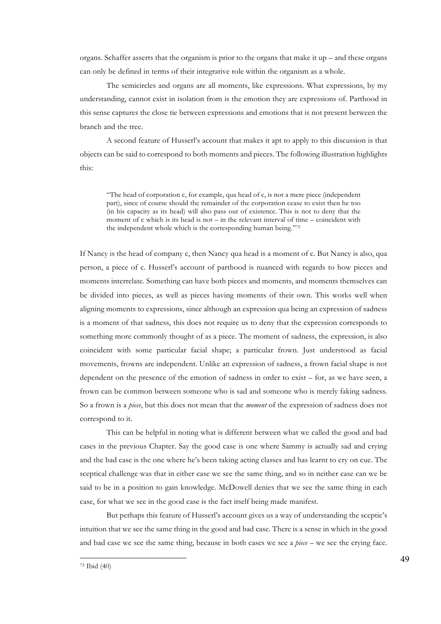organs. Schaffer asserts that the organism is prior to the organs that make it up – and these organs can only be defined in terms of their integrative role within the organism as a whole.

The semicircles and organs are all moments, like expressions. What expressions, by my understanding, cannot exist in isolation from is the emotion they are expressions of. Parthood in this sense captures the close tie between expressions and emotions that is not present between the branch and the tree.

A second feature of Husserl's account that makes it apt to apply to this discussion is that objects can be said to correspond to both moments and pieces. The following illustration highlights this:

"The head of corporation c, for example, qua head of c, is not a mere piece (independent part), since of course should the remainder of the corporation cease to exist then he too (in his capacity as its head) will also pass out of existence. This is not to deny that the moment of c which is its head is not  $-$  in the relevant interval of time  $-$  coincident with the independent whole which is the corresponding human being."75

If Nancy is the head of company c, then Nancy qua head is a moment of c. But Nancy is also, qua person, a piece of c. Husserl's account of parthood is nuanced with regards to how pieces and moments interrelate. Something can have both pieces and moments, and moments themselves can be divided into pieces, as well as pieces having moments of their own. This works well when aligning moments to expressions, since although an expression qua being an expression of sadness is a moment of that sadness, this does not require us to deny that the expression corresponds to something more commonly thought of as a piece. The moment of sadness, the expression, is also coincident with some particular facial shape; a particular frown. Just understood as facial movements, frowns are independent. Unlike an expression of sadness, a frown facial shape is not dependent on the presence of the emotion of sadness in order to exist – for, as we have seen, a frown can be common between someone who is sad and someone who is merely faking sadness. So a frown is a *piece*, but this does not mean that the *moment* of the expression of sadness does not correspond to it.

This can be helpful in noting what is different between what we called the good and bad cases in the previous Chapter. Say the good case is one where Sammy is actually sad and crying and the bad case is the one where he's been taking acting classes and has learnt to cry on cue. The sceptical challenge was that in either case we see the same thing, and so in neither case can we be said to be in a position to gain knowledge. McDowell denies that we see the same thing in each case, for what we see in the good case is the fact itself being made manifest.

But perhaps this feature of Husserl's account gives us a way of understanding the sceptic's intuition that we see the same thing in the good and bad case. There is a sense in which in the good and bad case we see the same thing, because in both cases we see a *piece* – we see the crying face.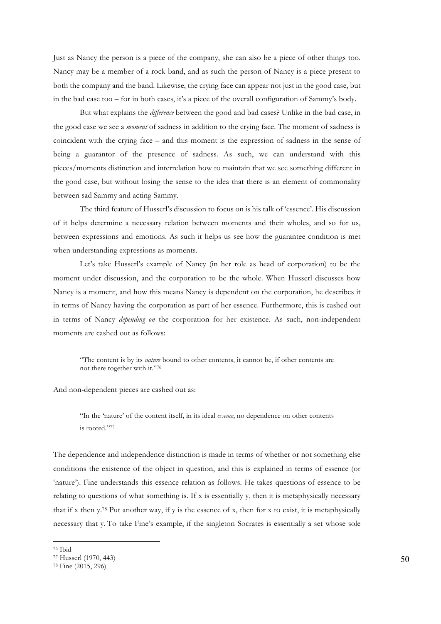Just as Nancy the person is a piece of the company, she can also be a piece of other things too. Nancy may be a member of a rock band, and as such the person of Nancy is a piece present to both the company and the band. Likewise, the crying face can appear not just in the good case, but in the bad case too – for in both cases, it's a piece of the overall configuration of Sammy's body.

But what explains the *difference* between the good and bad cases? Unlike in the bad case, in the good case we see a *moment* of sadness in addition to the crying face. The moment of sadness is coincident with the crying face – and this moment is the expression of sadness in the sense of being a guarantor of the presence of sadness. As such, we can understand with this pieces/moments distinction and interrelation how to maintain that we see something different in the good case, but without losing the sense to the idea that there is an element of commonality between sad Sammy and acting Sammy.

The third feature of Husserl's discussion to focus on is his talk of 'essence'. His discussion of it helps determine a necessary relation between moments and their wholes, and so for us, between expressions and emotions. As such it helps us see how the guarantee condition is met when understanding expressions as moments.

Let's take Husserl's example of Nancy (in her role as head of corporation) to be the moment under discussion, and the corporation to be the whole. When Husserl discusses how Nancy is a moment, and how this means Nancy is dependent on the corporation, he describes it in terms of Nancy having the corporation as part of her essence. Furthermore, this is cashed out in terms of Nancy *depending on* the corporation for her existence. As such, non-independent moments are cashed out as follows:

"The content is by its *nature* bound to other contents, it cannot be, if other contents are not there together with it."76

And non-dependent pieces are cashed out as:

"In the 'nature' of the content itself, in its ideal *essence*, no dependence on other contents is rooted."77

The dependence and independence distinction is made in terms of whether or not something else conditions the existence of the object in question, and this is explained in terms of essence (or 'nature'). Fine understands this essence relation as follows. He takes questions of essence to be relating to questions of what something is. If x is essentially y, then it is metaphysically necessary that if x then y.78 Put another way, if y is the essence of x, then for x to exist, it is metaphysically necessary that y. To take Fine's example, if the singleton Socrates is essentially a set whose sole

<sup>76</sup> Ibid

<sup>77</sup> Husserl (1970, 443)

<sup>78</sup> Fine (2015, 296)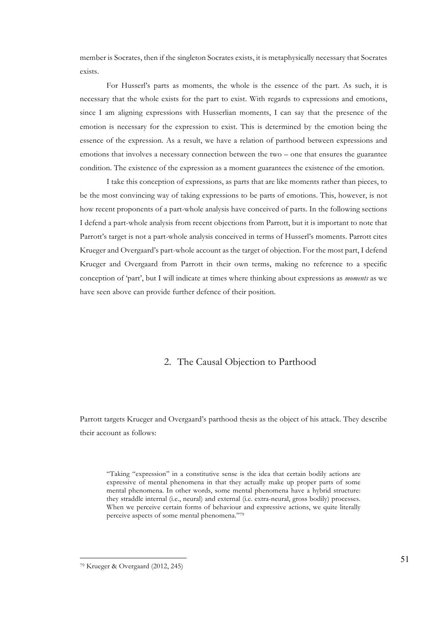member is Socrates, then if the singleton Socrates exists, it is metaphysically necessary that Socrates exists.

For Husserl's parts as moments, the whole is the essence of the part. As such, it is necessary that the whole exists for the part to exist. With regards to expressions and emotions, since I am aligning expressions with Husserlian moments, I can say that the presence of the emotion is necessary for the expression to exist. This is determined by the emotion being the essence of the expression. As a result, we have a relation of parthood between expressions and emotions that involves a necessary connection between the two – one that ensures the guarantee condition. The existence of the expression as a moment guarantees the existence of the emotion.

I take this conception of expressions, as parts that are like moments rather than pieces, to be the most convincing way of taking expressions to be parts of emotions. This, however, is not how recent proponents of a part-whole analysis have conceived of parts. In the following sections I defend a part-whole analysis from recent objections from Parrott, but it is important to note that Parrott's target is not a part-whole analysis conceived in terms of Husserl's moments. Parrott cites Krueger and Overgaard's part-whole account as the target of objection. For the most part, I defend Krueger and Overgaard from Parrott in their own terms, making no reference to a specific conception of 'part', but I will indicate at times where thinking about expressions as *moments* as we have seen above can provide further defence of their position.

## 2. The Causal Objection to Parthood

Parrott targets Krueger and Overgaard's parthood thesis as the object of his attack. They describe their account as follows:

"Taking "expression" in a constitutive sense is the idea that certain bodily actions are expressive of mental phenomena in that they actually make up proper parts of some mental phenomena. In other words, some mental phenomena have a hybrid structure: they straddle internal (i.e., neural) and external (i.e. extra-neural, gross bodily) processes. When we perceive certain forms of behaviour and expressive actions, we quite literally perceive aspects of some mental phenomena."79

<sup>79</sup> Krueger & Overgaard (2012, 245)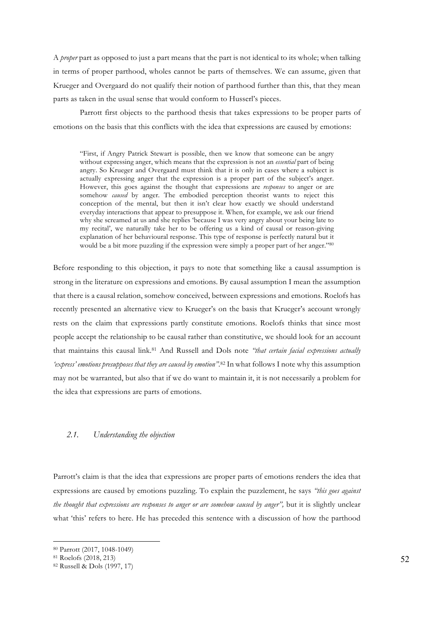A *proper* part as opposed to just a part means that the part is not identical to its whole; when talking in terms of proper parthood, wholes cannot be parts of themselves. We can assume, given that Krueger and Overgaard do not qualify their notion of parthood further than this, that they mean parts as taken in the usual sense that would conform to Husserl's pieces.

Parrott first objects to the parthood thesis that takes expressions to be proper parts of emotions on the basis that this conflicts with the idea that expressions are caused by emotions:

"First, if Angry Patrick Stewart is possible, then we know that someone can be angry without expressing anger, which means that the expression is not an *essential* part of being angry. So Krueger and Overgaard must think that it is only in cases where a subject is actually expressing anger that the expression is a proper part of the subject's anger. However, this goes against the thought that expressions are *responses* to anger or are somehow *caused* by anger. The embodied perception theorist wants to reject this conception of the mental, but then it isn't clear how exactly we should understand everyday interactions that appear to presuppose it. When, for example, we ask our friend why she screamed at us and she replies 'because I was very angry about your being late to my recital', we naturally take her to be offering us a kind of causal or reason-giving explanation of her behavioural response. This type of response is perfectly natural but it would be a bit more puzzling if the expression were simply a proper part of her anger."80

Before responding to this objection, it pays to note that something like a causal assumption is strong in the literature on expressions and emotions. By causal assumption I mean the assumption that there is a causal relation, somehow conceived, between expressions and emotions. Roelofs has recently presented an alternative view to Krueger's on the basis that Krueger's account wrongly rests on the claim that expressions partly constitute emotions. Roelofs thinks that since most people accept the relationship to be causal rather than constitutive, we should look for an account that maintains this causal link.81 And Russell and Dols note *"that certain facial expressions actually 'express' emotions presupposes that they are caused by emotion".*<sup>82</sup> In what follows I note why this assumption may not be warranted, but also that if we do want to maintain it, it is not necessarily a problem for the idea that expressions are parts of emotions.

#### *2.1. Understanding the objection*

Parrott's claim is that the idea that expressions are proper parts of emotions renders the idea that expressions are caused by emotions puzzling. To explain the puzzlement, he says *"this goes against the thought that expressions are responses to anger or are somehow caused by anger",* but it is slightly unclear what 'this' refers to here. He has preceded this sentence with a discussion of how the parthood

<sup>80</sup> Parrott (2017, 1048-1049)

<sup>81</sup> Roelofs (2018, 213)

<sup>82</sup> Russell & Dols (1997, 17)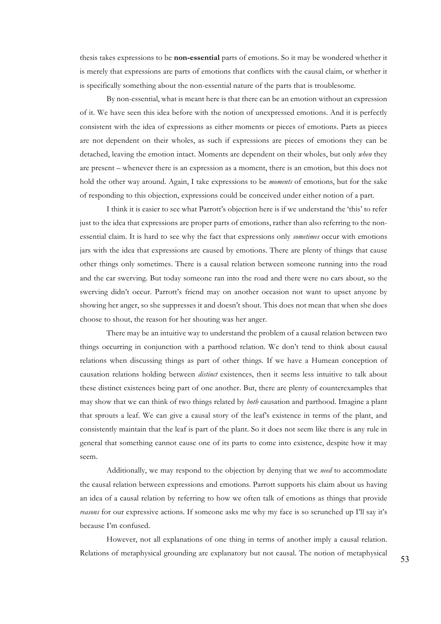thesis takes expressions to be **non-essential** parts of emotions. So it may be wondered whether it is merely that expressions are parts of emotions that conflicts with the causal claim, or whether it is specifically something about the non-essential nature of the parts that is troublesome.

By non-essential, what is meant here is that there can be an emotion without an expression of it. We have seen this idea before with the notion of unexpressed emotions. And it is perfectly consistent with the idea of expressions as either moments or pieces of emotions. Parts as pieces are not dependent on their wholes, as such if expressions are pieces of emotions they can be detached, leaving the emotion intact. Moments are dependent on their wholes, but only *when* they are present – whenever there is an expression as a moment, there is an emotion, but this does not hold the other way around. Again, I take expressions to be *moments* of emotions, but for the sake of responding to this objection, expressions could be conceived under either notion of a part.

I think it is easier to see what Parrott's objection here is if we understand the 'this' to refer just to the idea that expressions are proper parts of emotions, rather than also referring to the nonessential claim. It is hard to see why the fact that expressions only *sometimes* occur with emotions jars with the idea that expressions are caused by emotions. There are plenty of things that cause other things only sometimes. There is a causal relation between someone running into the road and the car swerving. But today someone ran into the road and there were no cars about, so the swerving didn't occur. Parrott's friend may on another occasion not want to upset anyone by showing her anger, so she suppresses it and doesn't shout. This does not mean that when she does choose to shout, the reason for her shouting was her anger.

There may be an intuitive way to understand the problem of a causal relation between two things occurring in conjunction with a parthood relation. We don't tend to think about causal relations when discussing things as part of other things. If we have a Humean conception of causation relations holding between *distinct* existences, then it seems less intuitive to talk about these distinct existences being part of one another. But, there are plenty of counterexamples that may show that we can think of two things related by *both* causation and parthood. Imagine a plant that sprouts a leaf. We can give a causal story of the leaf's existence in terms of the plant, and consistently maintain that the leaf is part of the plant. So it does not seem like there is any rule in general that something cannot cause one of its parts to come into existence, despite how it may seem.

Additionally, we may respond to the objection by denying that we *need* to accommodate the causal relation between expressions and emotions. Parrott supports his claim about us having an idea of a causal relation by referring to how we often talk of emotions as things that provide *reasons* for our expressive actions. If someone asks me why my face is so scrunched up I'll say it's because I'm confused.

However, not all explanations of one thing in terms of another imply a causal relation. Relations of metaphysical grounding are explanatory but not causal. The notion of metaphysical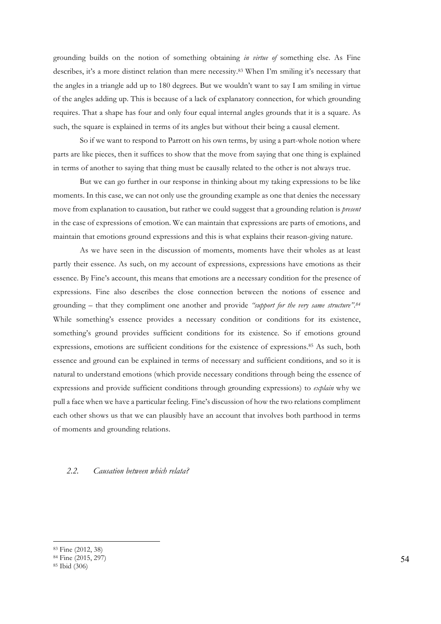grounding builds on the notion of something obtaining *in virtue of* something else. As Fine describes, it's a more distinct relation than mere necessity.83 When I'm smiling it's necessary that the angles in a triangle add up to 180 degrees. But we wouldn't want to say I am smiling in virtue of the angles adding up. This is because of a lack of explanatory connection, for which grounding requires. That a shape has four and only four equal internal angles grounds that it is a square. As such, the square is explained in terms of its angles but without their being a causal element.

So if we want to respond to Parrott on his own terms, by using a part-whole notion where parts are like pieces, then it suffices to show that the move from saying that one thing is explained in terms of another to saying that thing must be causally related to the other is not always true.

But we can go further in our response in thinking about my taking expressions to be like moments. In this case, we can not only use the grounding example as one that denies the necessary move from explanation to causation, but rather we could suggest that a grounding relation is *present*  in the case of expressions of emotion. We can maintain that expressions are parts of emotions, and maintain that emotions ground expressions and this is what explains their reason-giving nature.

As we have seen in the discussion of moments, moments have their wholes as at least partly their essence. As such, on my account of expressions, expressions have emotions as their essence. By Fine's account, this means that emotions are a necessary condition for the presence of expressions. Fine also describes the close connection between the notions of essence and grounding – that they compliment one another and provide *"support for the very same structure".84* While something's essence provides a necessary condition or conditions for its existence, something's ground provides sufficient conditions for its existence. So if emotions ground expressions, emotions are sufficient conditions for the existence of expressions.85 As such, both essence and ground can be explained in terms of necessary and sufficient conditions, and so it is natural to understand emotions (which provide necessary conditions through being the essence of expressions and provide sufficient conditions through grounding expressions) to *explain* why we pull a face when we have a particular feeling. Fine's discussion of how the two relations compliment each other shows us that we can plausibly have an account that involves both parthood in terms of moments and grounding relations.

#### *2.2. Causation between which relata?*

<sup>83</sup> Fine (2012, 38)

<sup>&</sup>lt;sup>84</sup> Fine (2015, 297)<br><sup>85</sup> Ibid (306)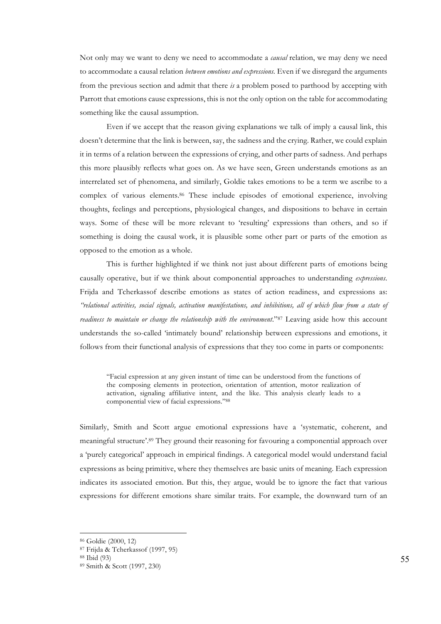Not only may we want to deny we need to accommodate a *causal* relation, we may deny we need to accommodate a causal relation *between emotions and expressions.* Even if we disregard the arguments from the previous section and admit that there *is* a problem posed to parthood by accepting with Parrott that emotions cause expressions, this is not the only option on the table for accommodating something like the causal assumption.

Even if we accept that the reason giving explanations we talk of imply a causal link, this doesn't determine that the link is between, say, the sadness and the crying. Rather, we could explain it in terms of a relation between the expressions of crying, and other parts of sadness. And perhaps this more plausibly reflects what goes on. As we have seen, Green understands emotions as an interrelated set of phenomena, and similarly, Goldie takes emotions to be a term we ascribe to a complex of various elements.86 These include episodes of emotional experience, involving thoughts, feelings and perceptions, physiological changes, and dispositions to behave in certain ways. Some of these will be more relevant to 'resulting' expressions than others, and so if something is doing the causal work, it is plausible some other part or parts of the emotion as opposed to the emotion as a whole.

This is further highlighted if we think not just about different parts of emotions being causally operative, but if we think about componential approaches to understanding *expressions*. Frijda and Tcherkassof describe emotions as states of action readiness, and expressions as: *"relational activities, social signals, activation manifestations, and inhibitions, all of which flow from a state of readiness to maintain or change the relationship with the environment*."87 Leaving aside how this account understands the so-called 'intimately bound' relationship between expressions and emotions, it follows from their functional analysis of expressions that they too come in parts or components:

"Facial expression at any given instant of time can be understood from the functions of the composing elements in protection, orientation of attention, motor realization of activation, signaling affiliative intent, and the like. This analysis clearly leads to a componential view of facial expressions."88

Similarly, Smith and Scott argue emotional expressions have a 'systematic, coherent, and meaningful structure'.89 They ground their reasoning for favouring a componential approach over a 'purely categorical' approach in empirical findings. A categorical model would understand facial expressions as being primitive, where they themselves are basic units of meaning. Each expression indicates its associated emotion. But this, they argue, would be to ignore the fact that various expressions for different emotions share similar traits. For example, the downward turn of an

<sup>86</sup> Goldie (2000, 12)

<sup>87</sup> Frijda & Tcherkassof (1997, 95)

<sup>88</sup> Ibid (93)

<sup>89</sup> Smith & Scott (1997, 230)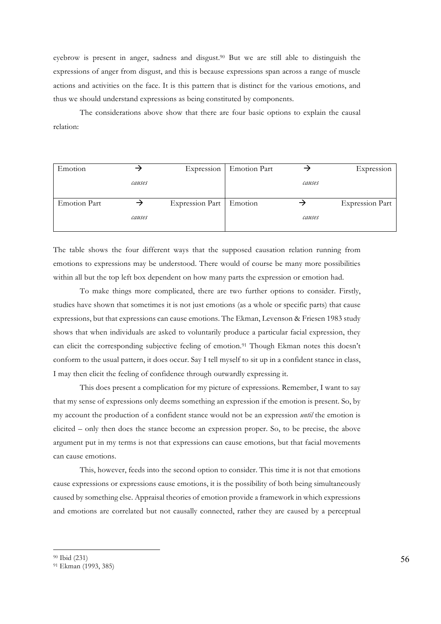eyebrow is present in anger, sadness and disgust.90 But we are still able to distinguish the expressions of anger from disgust, and this is because expressions span across a range of muscle actions and activities on the face. It is this pattern that is distinct for the various emotions, and thus we should understand expressions as being constituted by components.

The considerations above show that there are four basic options to explain the causal relation:

| Emotion             |        | Expression                | Emotion Part |        | Expression             |
|---------------------|--------|---------------------------|--------------|--------|------------------------|
|                     | causes |                           |              | causes |                        |
| <b>Emotion Part</b> |        | Expression Part   Emotion |              |        | <b>Expression Part</b> |
|                     | causes |                           |              | causes |                        |

The table shows the four different ways that the supposed causation relation running from emotions to expressions may be understood. There would of course be many more possibilities within all but the top left box dependent on how many parts the expression or emotion had.

To make things more complicated, there are two further options to consider. Firstly, studies have shown that sometimes it is not just emotions (as a whole or specific parts) that cause expressions, but that expressions can cause emotions. The Ekman, Levenson & Friesen 1983 study shows that when individuals are asked to voluntarily produce a particular facial expression, they can elicit the corresponding subjective feeling of emotion.91 Though Ekman notes this doesn't conform to the usual pattern, it does occur. Say I tell myself to sit up in a confident stance in class, I may then elicit the feeling of confidence through outwardly expressing it.

This does present a complication for my picture of expressions. Remember, I want to say that my sense of expressions only deems something an expression if the emotion is present. So, by my account the production of a confident stance would not be an expression *until* the emotion is elicited – only then does the stance become an expression proper. So, to be precise, the above argument put in my terms is not that expressions can cause emotions, but that facial movements can cause emotions.

This, however, feeds into the second option to consider. This time it is not that emotions cause expressions or expressions cause emotions, it is the possibility of both being simultaneously caused by something else. Appraisal theories of emotion provide a framework in which expressions and emotions are correlated but not causally connected, rather they are caused by a perceptual

<sup>90</sup> Ibid (231)

<sup>91</sup> Ekman (1993, 385)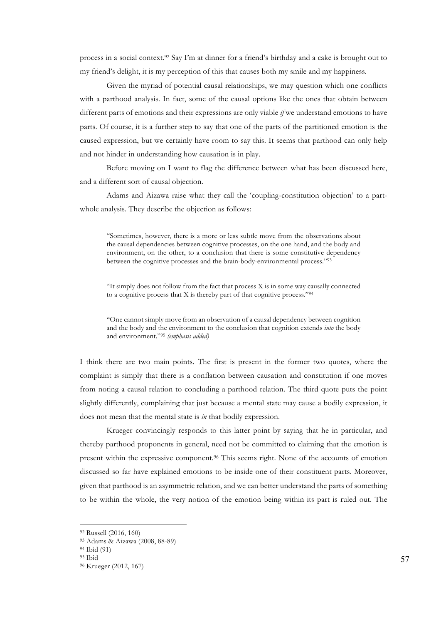process in a social context.92 Say I'm at dinner for a friend's birthday and a cake is brought out to my friend's delight, it is my perception of this that causes both my smile and my happiness.

Given the myriad of potential causal relationships, we may question which one conflicts with a parthood analysis. In fact, some of the causal options like the ones that obtain between different parts of emotions and their expressions are only viable *if* we understand emotions to have parts. Of course, it is a further step to say that one of the parts of the partitioned emotion is the caused expression, but we certainly have room to say this. It seems that parthood can only help and not hinder in understanding how causation is in play.

Before moving on I want to flag the difference between what has been discussed here, and a different sort of causal objection.

Adams and Aizawa raise what they call the 'coupling-constitution objection' to a partwhole analysis. They describe the objection as follows:

"Sometimes, however, there is a more or less subtle move from the observations about the causal dependencies between cognitive processes, on the one hand, and the body and environment, on the other, to a conclusion that there is some constitutive dependency between the cognitive processes and the brain-body-environmental process."93

"It simply does not follow from the fact that process X is in some way causally connected to a cognitive process that X is thereby part of that cognitive process."94

"One cannot simply move from an observation of a causal dependency between cognition and the body and the environment to the conclusion that cognition extends *into* the body and environment."95 *(emphasis added)*

I think there are two main points. The first is present in the former two quotes, where the complaint is simply that there is a conflation between causation and constitution if one moves from noting a causal relation to concluding a parthood relation. The third quote puts the point slightly differently, complaining that just because a mental state may cause a bodily expression, it does not mean that the mental state is *in* that bodily expression.

Krueger convincingly responds to this latter point by saying that he in particular, and thereby parthood proponents in general, need not be committed to claiming that the emotion is present within the expressive component.96 This seems right. None of the accounts of emotion discussed so far have explained emotions to be inside one of their constituent parts. Moreover, given that parthood is an asymmetric relation, and we can better understand the parts of something to be within the whole, the very notion of the emotion being within its part is ruled out. The

<sup>92</sup> Russell (2016, 160) 93 Adams & Aizawa (2008, 88-89)

<sup>94</sup> Ibid (91)

<sup>95</sup> Ibid

<sup>96</sup> Krueger (2012, 167)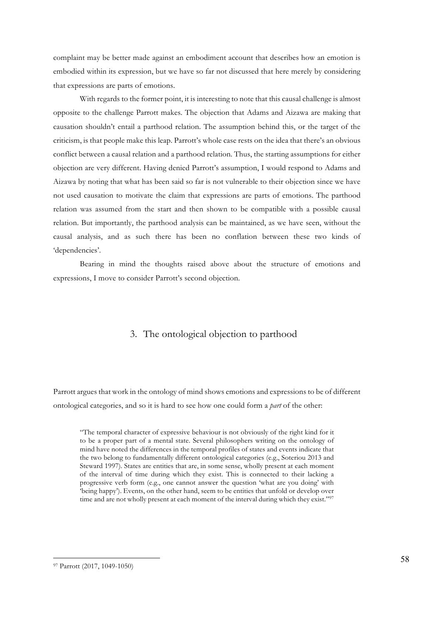complaint may be better made against an embodiment account that describes how an emotion is embodied within its expression, but we have so far not discussed that here merely by considering that expressions are parts of emotions.

With regards to the former point, it is interesting to note that this causal challenge is almost opposite to the challenge Parrott makes. The objection that Adams and Aizawa are making that causation shouldn't entail a parthood relation. The assumption behind this, or the target of the criticism, is that people make this leap. Parrott's whole case rests on the idea that there's an obvious conflict between a causal relation and a parthood relation. Thus, the starting assumptions for either objection are very different. Having denied Parrott's assumption, I would respond to Adams and Aizawa by noting that what has been said so far is not vulnerable to their objection since we have not used causation to motivate the claim that expressions are parts of emotions. The parthood relation was assumed from the start and then shown to be compatible with a possible causal relation. But importantly, the parthood analysis can be maintained, as we have seen, without the causal analysis, and as such there has been no conflation between these two kinds of 'dependencies'.

Bearing in mind the thoughts raised above about the structure of emotions and expressions, I move to consider Parrott's second objection.

## 3. The ontological objection to parthood

Parrott argues that work in the ontology of mind shows emotions and expressions to be of different ontological categories, and so it is hard to see how one could form a *part* of the other:

"The temporal character of expressive behaviour is not obviously of the right kind for it to be a proper part of a mental state. Several philosophers writing on the ontology of mind have noted the differences in the temporal profiles of states and events indicate that the two belong to fundamentally different ontological categories (e.g., Soteriou 2013 and Steward 1997). States are entities that are, in some sense, wholly present at each moment of the interval of time during which they exist. This is connected to their lacking a progressive verb form (e.g., one cannot answer the question 'what are you doing' with 'being happy'). Events, on the other hand, seem to be entities that unfold or develop over time and are not wholly present at each moment of the interval during which they exist."<sup>97</sup>

<sup>97</sup> Parrott (2017, 1049-1050)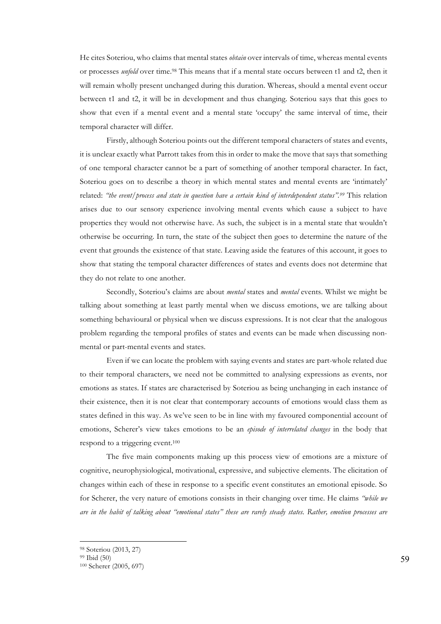He cites Soteriou, who claims that mental states *obtain* over intervals of time, whereas mental events or processes *unfold* over time. <sup>98</sup> This means that if a mental state occurs between t1 and t2, then it will remain wholly present unchanged during this duration. Whereas, should a mental event occur between t1 and t2, it will be in development and thus changing. Soteriou says that this goes to show that even if a mental event and a mental state 'occupy' the same interval of time, their temporal character will differ.

Firstly, although Soteriou points out the different temporal characters of states and events, it is unclear exactly what Parrott takes from this in order to make the move that says that something of one temporal character cannot be a part of something of another temporal character. In fact, Soteriou goes on to describe a theory in which mental states and mental events are 'intimately' related: *"the event/process and state in question have a certain kind of interdependent status". <sup>99</sup>* This relation arises due to our sensory experience involving mental events which cause a subject to have properties they would not otherwise have. As such, the subject is in a mental state that wouldn't otherwise be occurring. In turn, the state of the subject then goes to determine the nature of the event that grounds the existence of that state. Leaving aside the features of this account, it goes to show that stating the temporal character differences of states and events does not determine that they do not relate to one another.

Secondly, Soteriou's claims are about *mental* states and *mental* events. Whilst we might be talking about something at least partly mental when we discuss emotions, we are talking about something behavioural or physical when we discuss expressions. It is not clear that the analogous problem regarding the temporal profiles of states and events can be made when discussing nonmental or part-mental events and states.

Even if we can locate the problem with saying events and states are part-whole related due to their temporal characters, we need not be committed to analysing expressions as events, nor emotions as states. If states are characterised by Soteriou as being unchanging in each instance of their existence, then it is not clear that contemporary accounts of emotions would class them as states defined in this way. As we've seen to be in line with my favoured componential account of emotions, Scherer's view takes emotions to be an *episode of interrelated changes* in the body that respond to a triggering event.100

The five main components making up this process view of emotions are a mixture of cognitive, neurophysiological, motivational, expressive, and subjective elements. The elicitation of changes within each of these in response to a specific event constitutes an emotional episode. So for Scherer, the very nature of emotions consists in their changing over time. He claims *"while we are in the habit of talking about "emotional states" these are rarely steady states. Rather, emotion processes are* 

<sup>98</sup> Soteriou (2013, 27)

<sup>99</sup> Ibid (50)

<sup>100</sup> Scherer (2005, 697)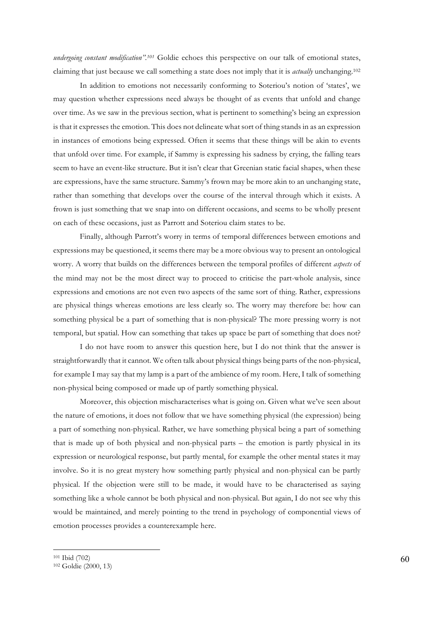*undergoing constant modification". <sup>101</sup>* Goldie echoes this perspective on our talk of emotional states, claiming that just because we call something a state does not imply that it is *actually* unchanging.102

In addition to emotions not necessarily conforming to Soteriou's notion of 'states', we may question whether expressions need always be thought of as events that unfold and change over time. As we saw in the previous section, what is pertinent to something's being an expression is that it expresses the emotion. This does not delineate what sort of thing stands in as an expression in instances of emotions being expressed. Often it seems that these things will be akin to events that unfold over time. For example, if Sammy is expressing his sadness by crying, the falling tears seem to have an event-like structure. But it isn't clear that Greenian static facial shapes, when these are expressions, have the same structure. Sammy's frown may be more akin to an unchanging state, rather than something that develops over the course of the interval through which it exists. A frown is just something that we snap into on different occasions, and seems to be wholly present on each of these occasions, just as Parrott and Soteriou claim states to be.

Finally, although Parrott's worry in terms of temporal differences between emotions and expressions may be questioned, it seems there may be a more obvious way to present an ontological worry. A worry that builds on the differences between the temporal profiles of different *aspects* of the mind may not be the most direct way to proceed to criticise the part-whole analysis, since expressions and emotions are not even two aspects of the same sort of thing. Rather, expressions are physical things whereas emotions are less clearly so. The worry may therefore be: how can something physical be a part of something that is non-physical? The more pressing worry is not temporal, but spatial. How can something that takes up space be part of something that does not?

I do not have room to answer this question here, but I do not think that the answer is straightforwardly that it cannot. We often talk about physical things being parts of the non-physical, for example I may say that my lamp is a part of the ambience of my room. Here, I talk of something non-physical being composed or made up of partly something physical.

Moreover, this objection mischaracterises what is going on. Given what we've seen about the nature of emotions, it does not follow that we have something physical (the expression) being a part of something non-physical. Rather, we have something physical being a part of something that is made up of both physical and non-physical parts – the emotion is partly physical in its expression or neurological response, but partly mental, for example the other mental states it may involve. So it is no great mystery how something partly physical and non-physical can be partly physical. If the objection were still to be made, it would have to be characterised as saying something like a whole cannot be both physical and non-physical. But again, I do not see why this would be maintained, and merely pointing to the trend in psychology of componential views of emotion processes provides a counterexample here.

<sup>101</sup> Ibid (702)

<sup>102</sup> Goldie (2000, 13)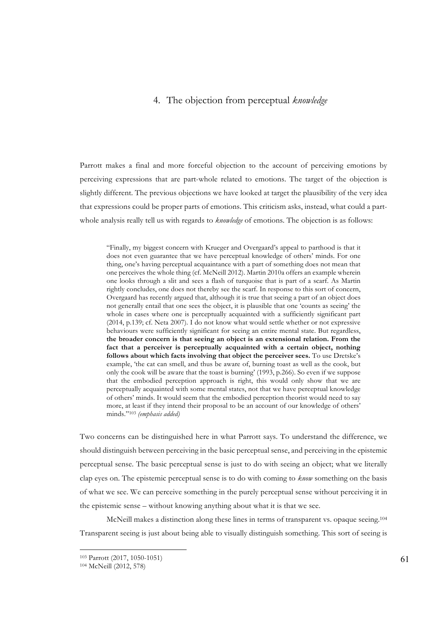## 4. The objection from perceptual *knowledge*

Parrott makes a final and more forceful objection to the account of perceiving emotions by perceiving expressions that are part-whole related to emotions. The target of the objection is slightly different. The previous objections we have looked at target the plausibility of the very idea that expressions could be proper parts of emotions. This criticism asks, instead, what could a partwhole analysis really tell us with regards to *knowledge* of emotions. The objection is as follows:

"Finally, my biggest concern with Krueger and Overgaard's appeal to parthood is that it does not even guarantee that we have perceptual knowledge of others' minds. For one thing, one's having perceptual acquaintance with a part of something does not mean that one perceives the whole thing (cf. McNeill 2012). Martin 2010a offers an example wherein one looks through a slit and sees a flash of turquoise that is part of a scarf. As Martin rightly concludes, one does not thereby see the scarf. In response to this sort of concern, Overgaard has recently argued that, although it is true that seeing a part of an object does not generally entail that one sees the object, it is plausible that one 'counts as seeing' the whole in cases where one is perceptually acquainted with a sufficiently significant part (2014, p.139; cf. Neta 2007). I do not know what would settle whether or not expressive behaviours were sufficiently significant for seeing an entire mental state. But regardless, **the broader concern is that seeing an object is an extensional relation. From the fact that a perceiver is perceptually acquainted with a certain object, nothing follows about which facts involving that object the perceiver sees.** To use Dretske's example, 'the cat can smell, and thus be aware of, burning toast as well as the cook, but only the cook will be aware that the toast is burning' (1993, p.266). So even if we suppose that the embodied perception approach is right, this would only show that we are perceptually acquainted with some mental states, not that we have perceptual knowledge of others' minds. It would seem that the embodied perception theorist would need to say more, at least if they intend their proposal to be an account of our knowledge of others' minds."103 *(emphasis added)* 

Two concerns can be distinguished here in what Parrott says. To understand the difference, we should distinguish between perceiving in the basic perceptual sense, and perceiving in the epistemic perceptual sense. The basic perceptual sense is just to do with seeing an object; what we literally clap eyes on. The epistemic perceptual sense is to do with coming to *know* something on the basis of what we see. We can perceive something in the purely perceptual sense without perceiving it in the epistemic sense – without knowing anything about what it is that we see.

McNeill makes a distinction along these lines in terms of transparent vs. opaque seeing.<sup>104</sup> Transparent seeing is just about being able to visually distinguish something. This sort of seeing is

<sup>103</sup> Parrott (2017, 1050-1051)

<sup>104</sup> McNeill (2012, 578)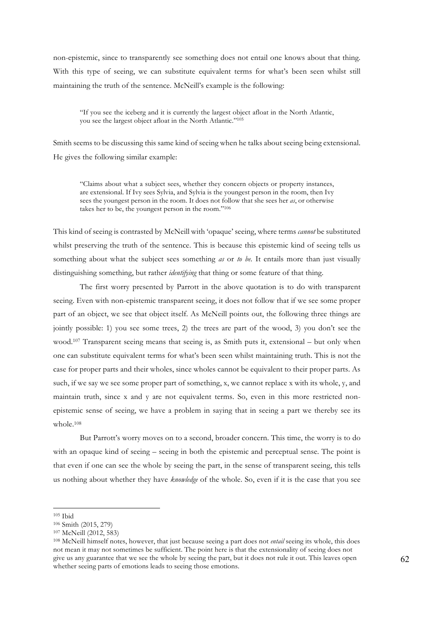non-epistemic, since to transparently see something does not entail one knows about that thing. With this type of seeing, we can substitute equivalent terms for what's been seen whilst still maintaining the truth of the sentence. McNeill's example is the following:

"If you see the iceberg and it is currently the largest object afloat in the North Atlantic, you see the largest object afloat in the North Atlantic."105

Smith seems to be discussing this same kind of seeing when he talks about seeing being extensional. He gives the following similar example:

"Claims about what a subject sees, whether they concern objects or property instances, are extensional. If Ivy sees Sylvia, and Sylvia is the youngest person in the room, then Ivy sees the youngest person in the room. It does not follow that she sees her *as*, or otherwise takes her to be, the youngest person in the room."106

This kind of seeing is contrasted by McNeill with 'opaque' seeing, where terms *cannot* be substituted whilst preserving the truth of the sentence. This is because this epistemic kind of seeing tells us something about what the subject sees something *as* or *to be.* It entails more than just visually distinguishing something, but rather *identifying* that thing or some feature of that thing.

The first worry presented by Parrott in the above quotation is to do with transparent seeing. Even with non-epistemic transparent seeing, it does not follow that if we see some proper part of an object, we see that object itself. As McNeill points out, the following three things are jointly possible: 1) you see some trees, 2) the trees are part of the wood, 3) you don't see the wood.107 Transparent seeing means that seeing is, as Smith puts it, extensional – but only when one can substitute equivalent terms for what's been seen whilst maintaining truth. This is not the case for proper parts and their wholes, since wholes cannot be equivalent to their proper parts. As such, if we say we see some proper part of something, x, we cannot replace x with its whole, y, and maintain truth, since x and y are not equivalent terms. So, even in this more restricted nonepistemic sense of seeing, we have a problem in saying that in seeing a part we thereby see its whole.108

But Parrott's worry moves on to a second, broader concern. This time, the worry is to do with an opaque kind of seeing – seeing in both the epistemic and perceptual sense. The point is that even if one can see the whole by seeing the part, in the sense of transparent seeing, this tells us nothing about whether they have *knowledge* of the whole. So, even if it is the case that you see

<sup>105</sup> Ibid

<sup>106</sup> Smith (2015, 279)

<sup>107</sup> McNeill (2012, 583)

<sup>108</sup> McNeill himself notes, however, that just because seeing a part does not *entail* seeing its whole, this does not mean it may not sometimes be sufficient. The point here is that the extensionality of seeing does not give us any guarantee that we see the whole by seeing the part, but it does not rule it out. This leaves open whether seeing parts of emotions leads to seeing those emotions.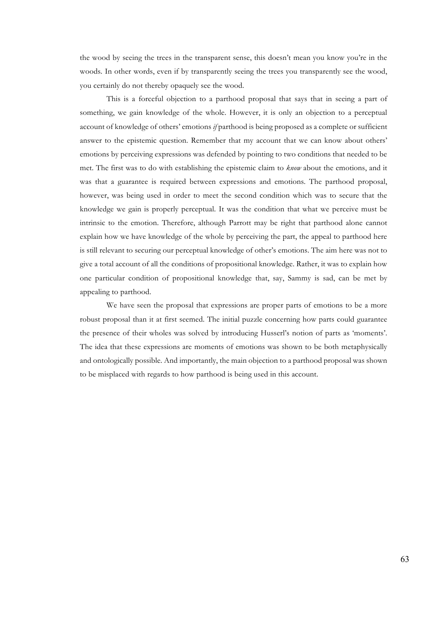the wood by seeing the trees in the transparent sense, this doesn't mean you know you're in the woods. In other words, even if by transparently seeing the trees you transparently see the wood, you certainly do not thereby opaquely see the wood.

This is a forceful objection to a parthood proposal that says that in seeing a part of something, we gain knowledge of the whole. However, it is only an objection to a perceptual account of knowledge of others' emotions *if* parthood is being proposed as a complete or sufficient answer to the epistemic question. Remember that my account that we can know about others' emotions by perceiving expressions was defended by pointing to two conditions that needed to be met. The first was to do with establishing the epistemic claim to *know* about the emotions, and it was that a guarantee is required between expressions and emotions. The parthood proposal, however, was being used in order to meet the second condition which was to secure that the knowledge we gain is properly perceptual. It was the condition that what we perceive must be intrinsic to the emotion. Therefore, although Parrott may be right that parthood alone cannot explain how we have knowledge of the whole by perceiving the part, the appeal to parthood here is still relevant to securing our perceptual knowledge of other's emotions. The aim here was not to give a total account of all the conditions of propositional knowledge. Rather, it was to explain how one particular condition of propositional knowledge that, say, Sammy is sad, can be met by appealing to parthood.

We have seen the proposal that expressions are proper parts of emotions to be a more robust proposal than it at first seemed. The initial puzzle concerning how parts could guarantee the presence of their wholes was solved by introducing Husserl's notion of parts as 'moments'. The idea that these expressions are moments of emotions was shown to be both metaphysically and ontologically possible. And importantly, the main objection to a parthood proposal was shown to be misplaced with regards to how parthood is being used in this account.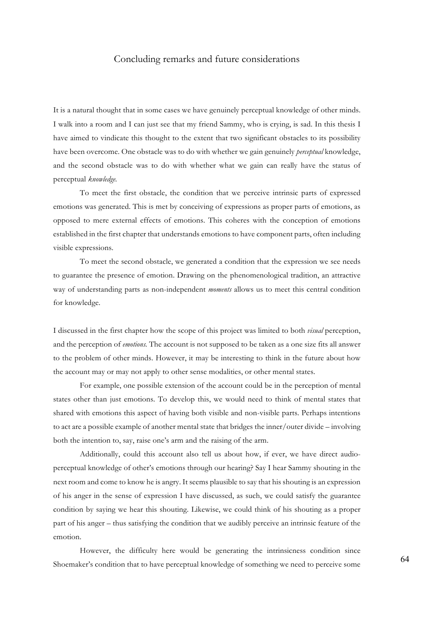## Concluding remarks and future considerations

It is a natural thought that in some cases we have genuinely perceptual knowledge of other minds. I walk into a room and I can just see that my friend Sammy, who is crying, is sad. In this thesis I have aimed to vindicate this thought to the extent that two significant obstacles to its possibility have been overcome. One obstacle was to do with whether we gain genuinely *perceptual* knowledge, and the second obstacle was to do with whether what we gain can really have the status of perceptual *knowledge.* 

To meet the first obstacle, the condition that we perceive intrinsic parts of expressed emotions was generated. This is met by conceiving of expressions as proper parts of emotions, as opposed to mere external effects of emotions. This coheres with the conception of emotions established in the first chapter that understands emotions to have component parts, often including visible expressions.

To meet the second obstacle, we generated a condition that the expression we see needs to guarantee the presence of emotion. Drawing on the phenomenological tradition, an attractive way of understanding parts as non-independent *moments* allows us to meet this central condition for knowledge.

I discussed in the first chapter how the scope of this project was limited to both *visual* perception, and the perception of *emotions.* The account is not supposed to be taken as a one size fits all answer to the problem of other minds. However, it may be interesting to think in the future about how the account may or may not apply to other sense modalities, or other mental states.

For example, one possible extension of the account could be in the perception of mental states other than just emotions. To develop this, we would need to think of mental states that shared with emotions this aspect of having both visible and non-visible parts. Perhaps intentions to act are a possible example of another mental state that bridges the inner/outer divide – involving both the intention to, say, raise one's arm and the raising of the arm.

Additionally, could this account also tell us about how, if ever, we have direct audioperceptual knowledge of other's emotions through our hearing? Say I hear Sammy shouting in the next room and come to know he is angry. It seems plausible to say that his shouting is an expression of his anger in the sense of expression I have discussed, as such, we could satisfy the guarantee condition by saying we hear this shouting. Likewise, we could think of his shouting as a proper part of his anger – thus satisfying the condition that we audibly perceive an intrinsic feature of the emotion.

However, the difficulty here would be generating the intrinsicness condition since Shoemaker's condition that to have perceptual knowledge of something we need to perceive some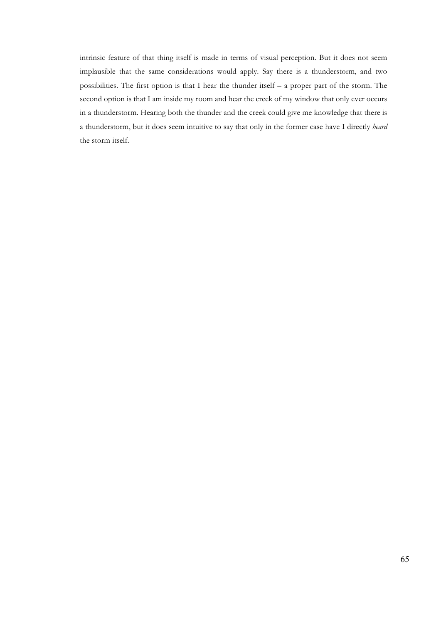intrinsic feature of that thing itself is made in terms of visual perception. But it does not seem implausible that the same considerations would apply. Say there is a thunderstorm, and two possibilities. The first option is that I hear the thunder itself – a proper part of the storm. The second option is that I am inside my room and hear the creek of my window that only ever occurs in a thunderstorm. Hearing both the thunder and the creek could give me knowledge that there is a thunderstorm, but it does seem intuitive to say that only in the former case have I directly *heard*  the storm itself.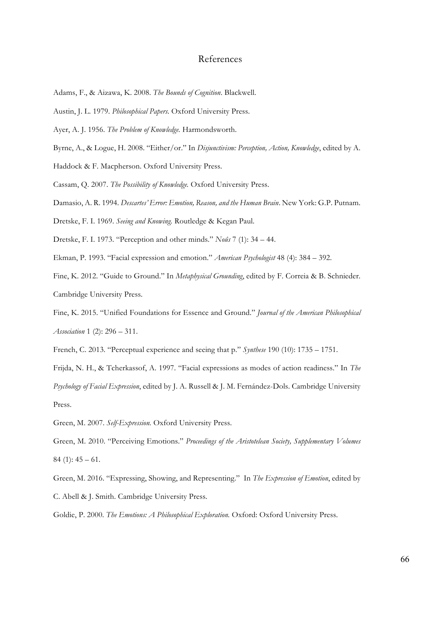## References

- Adams, F., & Aizawa, K. 2008. *The Bounds of Cognition*. Blackwell.
- Austin, J. L. 1979. *Philosophical Papers*. Oxford University Press.
- Ayer, A. J. 1956. *The Problem of Knowledge.* Harmondsworth.
- Byrne, A., & Logue, H. 2008. "Either/or." In *Disjunctivism: Perception, Action, Knowledge*, edited by A.

Haddock & F. Macpherson. Oxford University Press.

Cassam, Q. 2007. *The Possibility of Knowledge.* Oxford University Press.

Damasio, A. R. 1994. *Descartes' Error: Emotion, Reason, and the Human Brain*. New York: G.P. Putnam.

Dretske, F. I. 1969. *Seeing and Knowing.* Routledge & Kegan Paul.

Dretske, F. I. 1973. "Perception and other minds." *Noûs* 7 (1): 34 – 44.

Ekman, P. 1993. "Facial expression and emotion." *American Psychologist* 48 (4): 384 – 392.

Fine, K. 2012. "Guide to Ground." In *Metaphysical Grounding*, edited by F. Correia & B. Schnieder.

Cambridge University Press.

Fine, K. 2015. "Unified Foundations for Essence and Ground." *Journal of the American Philosophical Association* 1 (2): 296 – 311.

French, C. 2013. "Perceptual experience and seeing that p." *Synthese* 190 (10): 1735 – 1751.

Frijda, N. H., & Tcherkassof, A. 1997. "Facial expressions as modes of action readiness." In *The Psychology of Facial Expression*, edited by J. A. Russell & J. M. Fernández-Dols. Cambridge University Press.

Green, M. 2007. *Self-Expression.* Oxford University Press.

Green, M. 2010. "Perceiving Emotions." *Proceedings of the Aristotelean Society, Supplementary Volumes*   $84$  (1):  $45 - 61$ .

Green, M. 2016. "Expressing, Showing, and Representing." In *The Expression of Emotion*, edited by C. Abell & J. Smith. Cambridge University Press.

Goldie, P. 2000. *The Emotions: A Philosophical Exploration.* Oxford: Oxford University Press.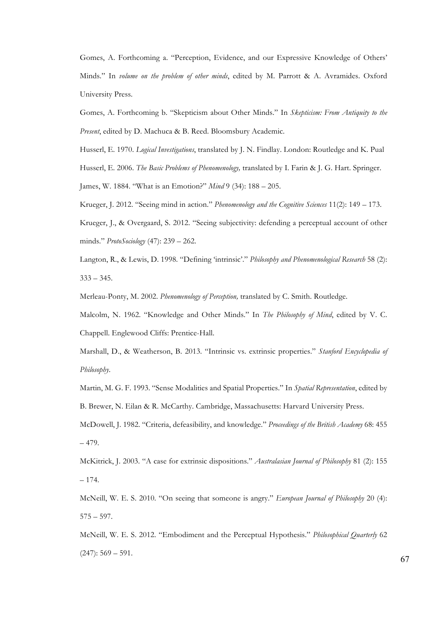Gomes, A. Forthcoming a. "Perception, Evidence, and our Expressive Knowledge of Others' Minds." In *volume on the problem of other minds*, edited by M. Parrott & A. Avramides. Oxford University Press.

Gomes, A. Forthcoming b. "Skepticism about Other Minds." In *Skepticism: From Antiquity to the Present*, edited by D. Machuca & B. Reed. Bloomsbury Academic.

Husserl, E. 1970. *Logical Investigations*, translated by J. N. Findlay. London: Routledge and K. Pual Husserl, E. 2006. *The Basic Problems of Phenomenology,* translated by I. Farin & J. G. Hart. Springer. James, W. 1884. "What is an Emotion?" *Mind* 9 (34): 188 – 205.

Krueger, J. 2012. "Seeing mind in action." *Phenomenology and the Cognitive Sciences* 11(2): 149 – 173.

Krueger, J., & Overgaard, S. 2012. "Seeing subjectivity: defending a perceptual account of other minds." *ProtoSociology* (47): 239 – 262.

Langton, R., & Lewis, D. 1998. "Defining 'intrinsic'." *Philosophy and Phenomenological Research* 58 (2):  $333 - 345$ .

Merleau-Ponty, M. 2002. *Phenomenology of Perception,* translated by C. Smith. Routledge.

Malcolm, N. 1962. "Knowledge and Other Minds." In *The Philosophy of Mind*, edited by V. C. Chappell. Englewood Cliffs: Prentice-Hall.

Marshall, D., & Weatherson, B. 2013. "Intrinsic vs. extrinsic properties." *Stanford Encyclopedia of Philosophy*.

Martin, M. G. F. 1993. "Sense Modalities and Spatial Properties." In *Spatial Representation*, edited by B. Brewer, N. Eilan & R. McCarthy. Cambridge, Massachusetts: Harvard University Press.

McDowell, J. 1982. "Criteria, defeasibility, and knowledge." *Proceedings of the British Academy* 68: 455 – 479.

McKitrick, J. 2003. "A case for extrinsic dispositions." *Australasian Journal of Philosophy* 81 (2): 155 – 174.

McNeill, W. E. S. 2010. "On seeing that someone is angry." *European Journal of Philosophy* 20 (4):  $575 - 597.$ 

McNeill, W. E. S. 2012. "Embodiment and the Perceptual Hypothesis." *Philosophical Quarterly* 62  $(247): 569 - 591.$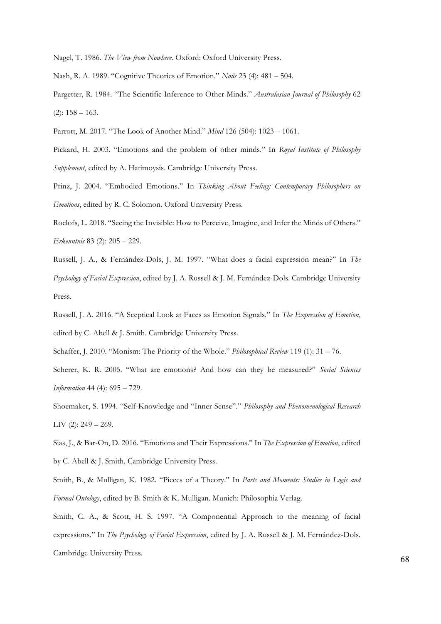Nagel, T. 1986. *The View from Nowhere.* Oxford: Oxford University Press.

Nash, R. A. 1989. "Cognitive Theories of Emotion." *Noûs* 23 (4): 481 – 504.

Pargetter, R. 1984. "The Scientific Inference to Other Minds." *Australasian Journal of Philosophy* 62  $(2): 158 - 163.$ 

Parrott, M. 2017. "The Look of Another Mind." *Mind* 126 (504): 1023 – 1061.

Pickard, H. 2003. "Emotions and the problem of other minds." In *Royal Institute of Philosophy Supplement*, edited by A. Hatimoysis. Cambridge University Press.

Prinz, J. 2004. "Embodied Emotions." In *Thinking About Feeling: Contemporary Philosophers on Emotions*, edited by R. C. Solomon. Oxford University Press.

Roelofs, L. 2018. "Seeing the Invisible: How to Perceive, Imagine, and Infer the Minds of Others." *Erkenntnis* 83 (2): 205 – 229.

Russell, J. A., & Fernández-Dols, J. M. 1997. "What does a facial expression mean?" In *The Psychology of Facial Expression*, edited by J. A. Russell & J. M. Fernández-Dols. Cambridge University Press.

Russell, J. A. 2016. "A Sceptical Look at Faces as Emotion Signals." In *The Expression of Emotion*, edited by C. Abell & J. Smith. Cambridge University Press.

Schaffer, J. 2010. "Monism: The Priority of the Whole." *Philosophical Review* 119 (1): 31 – 76.

Scherer, K. R. 2005. "What are emotions? And how can they be measured?" *Social Sciences Information* 44 (4): 695 – 729.

Shoemaker, S. 1994. "Self-Knowledge and "Inner Sense"." *Philosophy and Phenomenological Research*  LIV  $(2)$ : 249 – 269.

Sias, J., & Bar-On, D. 2016. "Emotions and Their Expressions." In *The Expression of Emotion*, edited by C. Abell & J. Smith. Cambridge University Press.

Smith, B., & Mulligan, K. 1982. "Pieces of a Theory." In *Parts and Moments: Studies in Logic and Formal Ontology*, edited by B. Smith & K. Mulligan. Munich: Philosophia Verlag.

Smith, C. A., & Scott, H. S. 1997. "A Componential Approach to the meaning of facial expressions." In *The Psychology of Facial Expression*, edited by J. A. Russell & J. M. Fernández-Dols. Cambridge University Press.